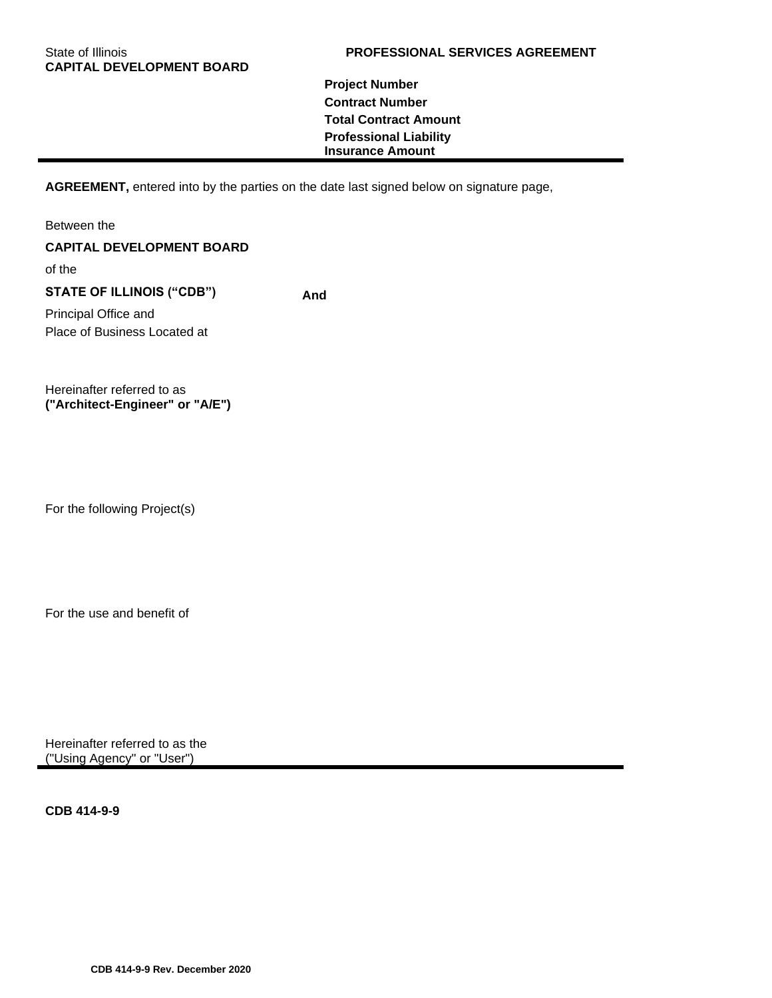# **Project Number Contract Number Total Contract Amount Professional Liability Insurance Amount**

**AGREEMENT,** entered into by the parties on the date last signed below on signature page,

Between the **CAPITAL DEVELOPMENT BOARD** of the **STATE OF ILLINOIS ("CDB") And** Principal Office and Place of Business Located at

Hereinafter referred to as **("Architect-Engineer" or "A/E")**

For the following Project(s)

For the use and benefit of

Hereinafter referred to as the ("Using Agency" or "User")

**CDB 414-9-9**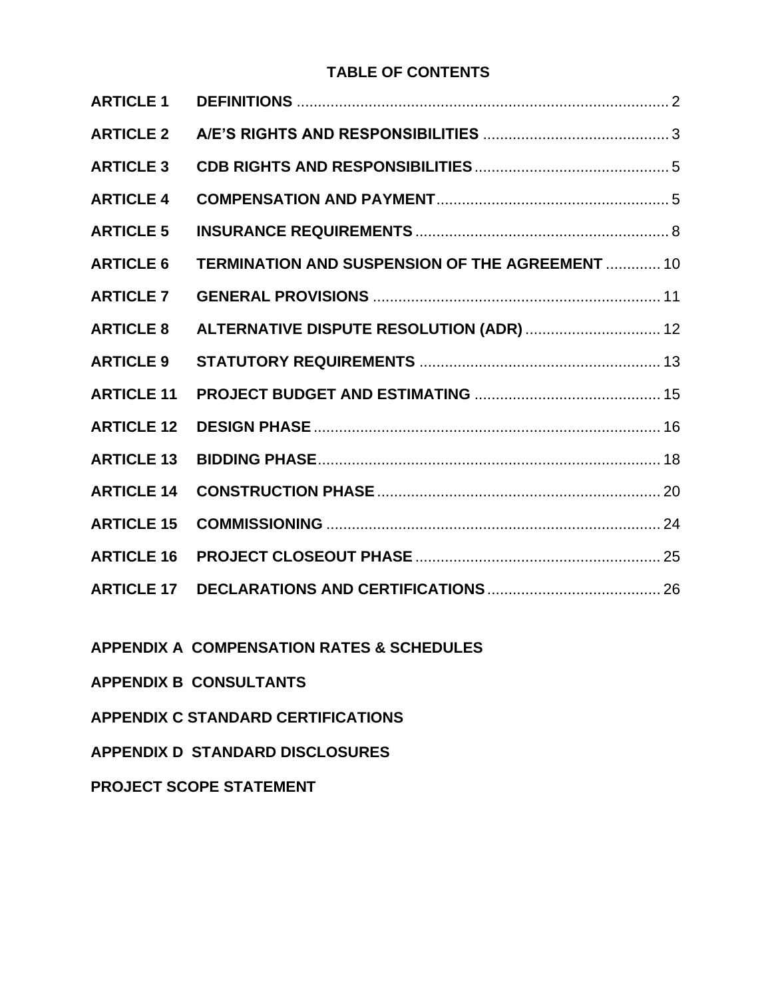# **TABLE OF CONTENTS**

| <b>ARTICLE 1</b>  |                                                 |
|-------------------|-------------------------------------------------|
| <b>ARTICLE 2</b>  |                                                 |
| <b>ARTICLE 3</b>  |                                                 |
| <b>ARTICLE 4</b>  |                                                 |
| <b>ARTICLE 5</b>  |                                                 |
| <b>ARTICLE 6</b>  | TERMINATION AND SUSPENSION OF THE AGREEMENT  10 |
| <b>ARTICLE 7</b>  |                                                 |
| <b>ARTICLE 8</b>  | ALTERNATIVE DISPUTE RESOLUTION (ADR)  12        |
| <b>ARTICLE 9</b>  |                                                 |
| <b>ARTICLE 11</b> |                                                 |
| <b>ARTICLE 12</b> |                                                 |
| <b>ARTICLE 13</b> |                                                 |
| <b>ARTICLE 14</b> |                                                 |
| <b>ARTICLE 15</b> |                                                 |
| <b>ARTICLE 16</b> |                                                 |
| <b>ARTICLE 17</b> |                                                 |
|                   |                                                 |

**APPENDIX A COMPENSATION RATES & SCHEDULES**

**APPENDIX B CONSULTANTS**

**APPENDIX C STANDARD CERTIFICATIONS**

**APPENDIX D STANDARD DISCLOSURES**

**PROJECT SCOPE STATEMENT**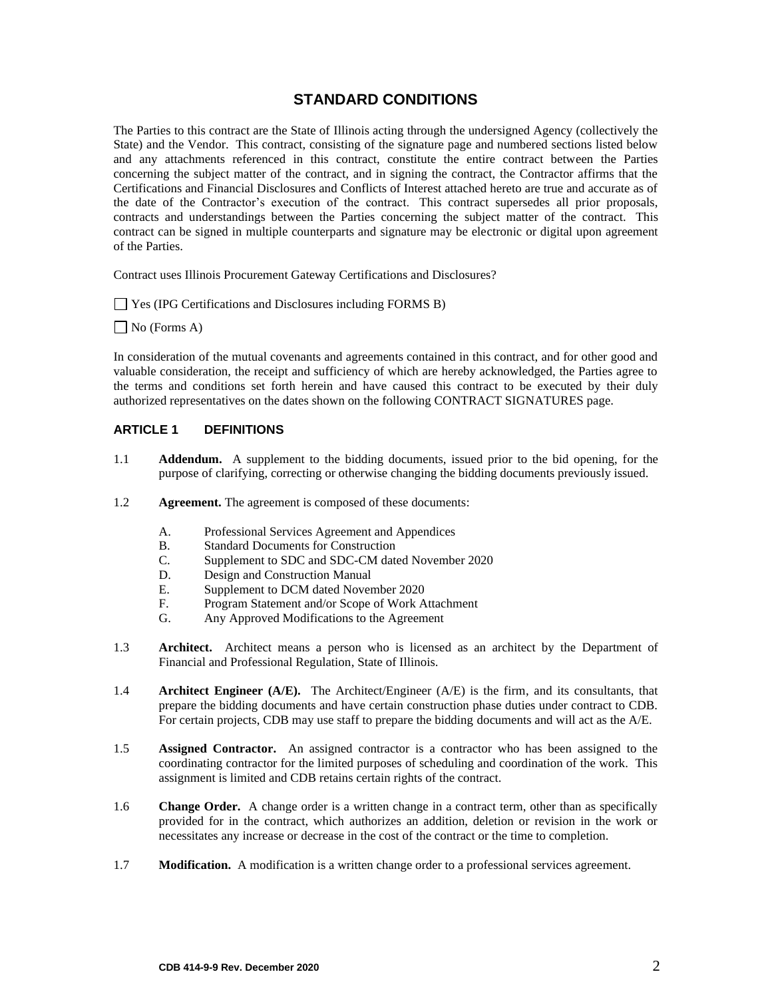# **STANDARD CONDITIONS**

The Parties to this contract are the State of Illinois acting through the undersigned Agency (collectively the State) and the Vendor. This contract, consisting of the signature page and numbered sections listed below and any attachments referenced in this contract, constitute the entire contract between the Parties concerning the subject matter of the contract, and in signing the contract, the Contractor affirms that the Certifications and Financial Disclosures and Conflicts of Interest attached hereto are true and accurate as of the date of the Contractor's execution of the contract. This contract supersedes all prior proposals, contracts and understandings between the Parties concerning the subject matter of the contract. This contract can be signed in multiple counterparts and signature may be electronic or digital upon agreement of the Parties.

Contract uses Illinois Procurement Gateway Certifications and Disclosures?

Yes (IPG Certifications and Disclosures including FORMS B)

No (Forms A)

In consideration of the mutual covenants and agreements contained in this contract, and for other good and valuable consideration, the receipt and sufficiency of which are hereby acknowledged, the Parties agree to the terms and conditions set forth herein and have caused this contract to be executed by their duly authorized representatives on the dates shown on the following CONTRACT SIGNATURES page.

## <span id="page-3-0"></span>**ARTICLE 1 DEFINITIONS**

- 1.1 **Addendum.** A supplement to the bidding documents, issued prior to the bid opening, for the purpose of clarifying, correcting or otherwise changing the bidding documents previously issued.
- 1.2 **Agreement.** The agreement is composed of these documents:
	- A. Professional Services Agreement and Appendices
	- B. Standard Documents for Construction
	- C. Supplement to SDC and SDC-CM dated November 2020
	- D. Design and Construction Manual
	- E. Supplement to DCM dated November 2020
	- F. Program Statement and/or Scope of Work Attachment
	- G. Any Approved Modifications to the Agreement
- 1.3 **Architect.** Architect means a person who is licensed as an architect by the Department of Financial and Professional Regulation, State of Illinois.
- 1.4 **Architect Engineer (A/E).** The Architect/Engineer (A/E) is the firm, and its consultants, that prepare the bidding documents and have certain construction phase duties under contract to CDB. For certain projects, CDB may use staff to prepare the bidding documents and will act as the A/E.
- 1.5 **Assigned Contractor.** An assigned contractor is a contractor who has been assigned to the coordinating contractor for the limited purposes of scheduling and coordination of the work. This assignment is limited and CDB retains certain rights of the contract.
- 1.6 **Change Order.** A change order is a written change in a contract term, other than as specifically provided for in the contract, which authorizes an addition, deletion or revision in the work or necessitates any increase or decrease in the cost of the contract or the time to completion.
- 1.7 **Modification.** A modification is a written change order to a professional services agreement.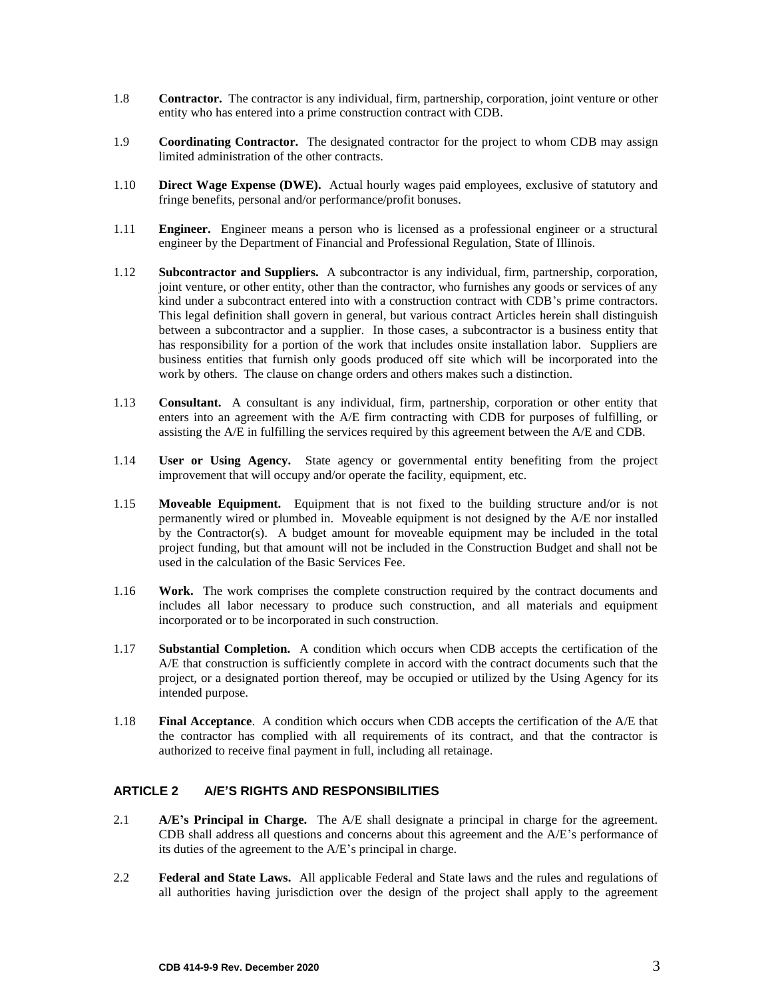- 1.8 **Contractor.** The contractor is any individual, firm, partnership, corporation, joint venture or other entity who has entered into a prime construction contract with CDB.
- 1.9 **Coordinating Contractor.** The designated contractor for the project to whom CDB may assign limited administration of the other contracts.
- 1.10 **Direct Wage Expense (DWE).** Actual hourly wages paid employees, exclusive of statutory and fringe benefits, personal and/or performance/profit bonuses.
- 1.11 **Engineer.** Engineer means a person who is licensed as a professional engineer or a structural engineer by the Department of Financial and Professional Regulation, State of Illinois.
- 1.12 **Subcontractor and Suppliers.** A subcontractor is any individual, firm, partnership, corporation, joint venture, or other entity, other than the contractor, who furnishes any goods or services of any kind under a subcontract entered into with a construction contract with CDB's prime contractors. This legal definition shall govern in general, but various contract Articles herein shall distinguish between a subcontractor and a supplier. In those cases, a subcontractor is a business entity that has responsibility for a portion of the work that includes onsite installation labor. Suppliers are business entities that furnish only goods produced off site which will be incorporated into the work by others. The clause on change orders and others makes such a distinction.
- 1.13 **Consultant.** A consultant is any individual, firm, partnership, corporation or other entity that enters into an agreement with the A/E firm contracting with CDB for purposes of fulfilling, or assisting the A/E in fulfilling the services required by this agreement between the A/E and CDB.
- 1.14 **User or Using Agency.** State agency or governmental entity benefiting from the project improvement that will occupy and/or operate the facility, equipment, etc.
- 1.15 **Moveable Equipment.** Equipment that is not fixed to the building structure and/or is not permanently wired or plumbed in. Moveable equipment is not designed by the A/E nor installed by the Contractor(s). A budget amount for moveable equipment may be included in the total project funding, but that amount will not be included in the Construction Budget and shall not be used in the calculation of the Basic Services Fee.
- 1.16 **Work.** The work comprises the complete construction required by the contract documents and includes all labor necessary to produce such construction, and all materials and equipment incorporated or to be incorporated in such construction.
- 1.17 **Substantial Completion.** A condition which occurs when CDB accepts the certification of the A/E that construction is sufficiently complete in accord with the contract documents such that the project, or a designated portion thereof, may be occupied or utilized by the Using Agency for its intended purpose.
- 1.18 **Final Acceptance**. A condition which occurs when CDB accepts the certification of the A/E that the contractor has complied with all requirements of its contract, and that the contractor is authorized to receive final payment in full, including all retainage.

# <span id="page-4-0"></span>**ARTICLE 2 A/E'S RIGHTS AND RESPONSIBILITIES**

- 2.1 **A/E's Principal in Charge.** The A/E shall designate a principal in charge for the agreement. CDB shall address all questions and concerns about this agreement and the A/E's performance of its duties of the agreement to the A/E's principal in charge.
- 2.2 **Federal and State Laws.** All applicable Federal and State laws and the rules and regulations of all authorities having jurisdiction over the design of the project shall apply to the agreement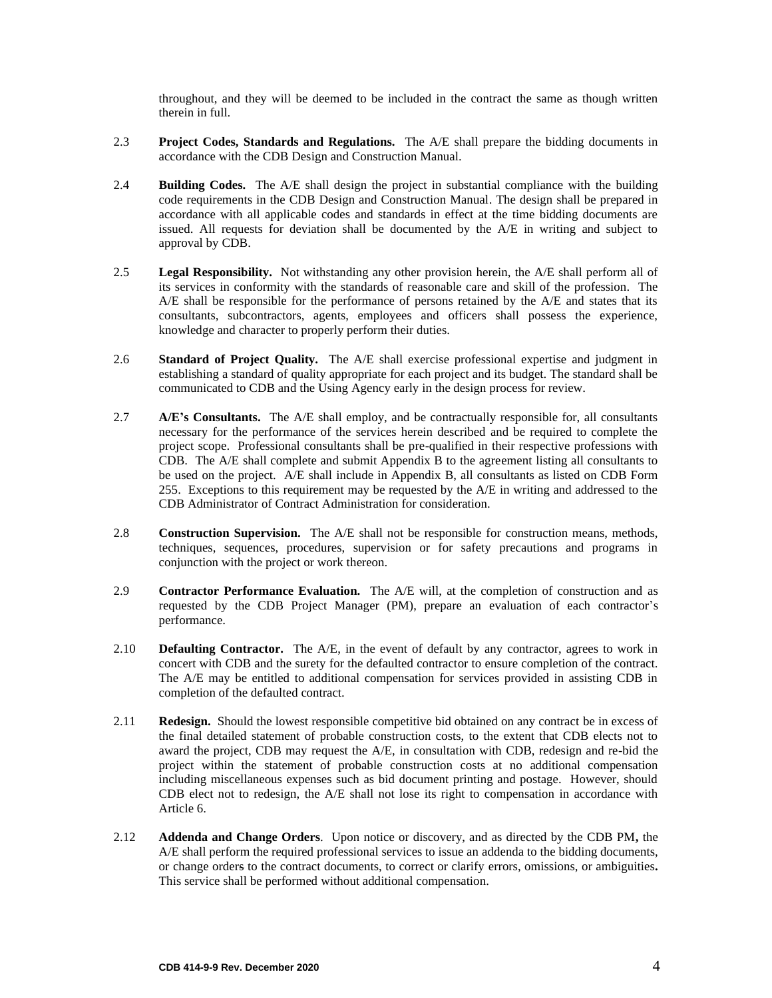throughout, and they will be deemed to be included in the contract the same as though written therein in full.

- 2.3 **Project Codes, Standards and Regulations.** The A/E shall prepare the bidding documents in accordance with the CDB Design and Construction Manual.
- 2.4 **Building Codes.** The A/E shall design the project in substantial compliance with the building code requirements in the CDB Design and Construction Manual. The design shall be prepared in accordance with all applicable codes and standards in effect at the time bidding documents are issued. All requests for deviation shall be documented by the A/E in writing and subject to approval by CDB.
- 2.5 **Legal Responsibility.** Not withstanding any other provision herein, the A/E shall perform all of its services in conformity with the standards of reasonable care and skill of the profession. The A/E shall be responsible for the performance of persons retained by the A/E and states that its consultants, subcontractors, agents, employees and officers shall possess the experience, knowledge and character to properly perform their duties.
- 2.6 **Standard of Project Quality.** The A/E shall exercise professional expertise and judgment in establishing a standard of quality appropriate for each project and its budget. The standard shall be communicated to CDB and the Using Agency early in the design process for review.
- 2.7 **A/E's Consultants.** The A/E shall employ, and be contractually responsible for, all consultants necessary for the performance of the services herein described and be required to complete the project scope. Professional consultants shall be pre-qualified in their respective professions with CDB. The A/E shall complete and submit Appendix B to the agreement listing all consultants to be used on the project. A/E shall include in Appendix B, all consultants as listed on CDB Form 255. Exceptions to this requirement may be requested by the A/E in writing and addressed to the CDB Administrator of Contract Administration for consideration.
- 2.8 **Construction Supervision.** The A/E shall not be responsible for construction means, methods, techniques, sequences, procedures, supervision or for safety precautions and programs in conjunction with the project or work thereon.
- 2.9 **Contractor Performance Evaluation.** The A/E will, at the completion of construction and as requested by the CDB Project Manager (PM), prepare an evaluation of each contractor's performance.
- 2.10 **Defaulting Contractor.** The A/E, in the event of default by any contractor, agrees to work in concert with CDB and the surety for the defaulted contractor to ensure completion of the contract. The A/E may be entitled to additional compensation for services provided in assisting CDB in completion of the defaulted contract.
- 2.11 **Redesign.** Should the lowest responsible competitive bid obtained on any contract be in excess of the final detailed statement of probable construction costs, to the extent that CDB elects not to award the project, CDB may request the A/E, in consultation with CDB, redesign and re-bid the project within the statement of probable construction costs at no additional compensation including miscellaneous expenses such as bid document printing and postage. However, should CDB elect not to redesign, the A/E shall not lose its right to compensation in accordance with Article 6.
- 2.12 **Addenda and Change Orders**. Upon notice or discovery, and as directed by the CDB PM**,** the A/E shall perform the required professional services to issue an addenda to the bidding documents, or change orders to the contract documents, to correct or clarify errors, omissions, or ambiguities**.**  This service shall be performed without additional compensation.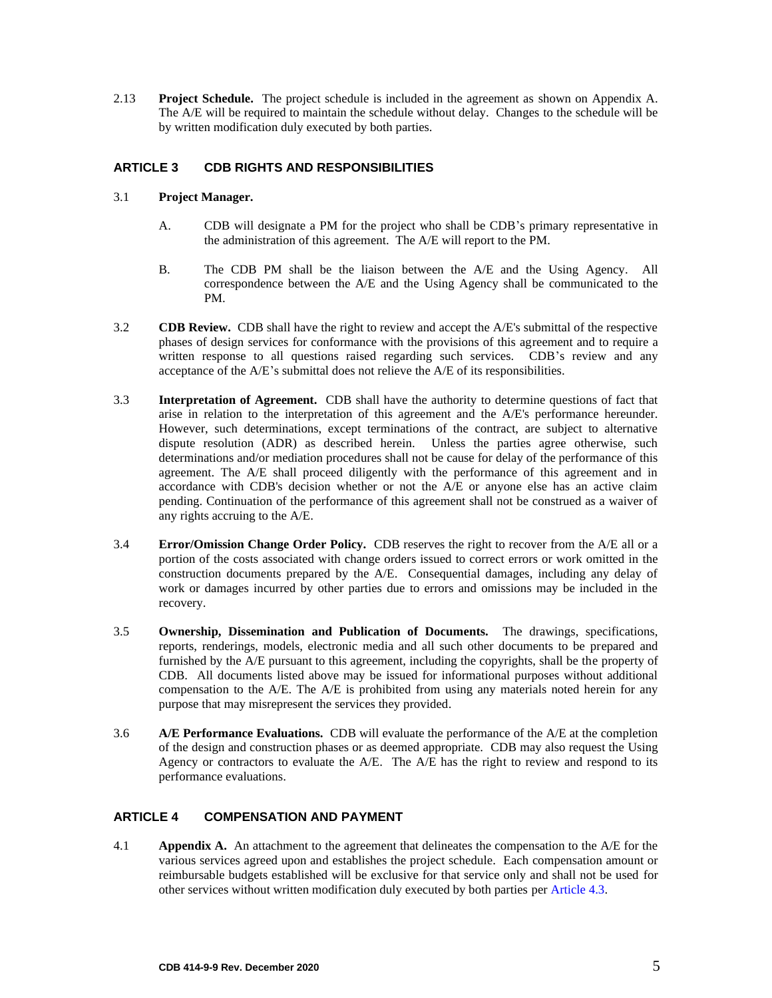2.13 **Project Schedule.** The project schedule is included in the agreement as shown on Appendix A. The A/E will be required to maintain the schedule without delay. Changes to the schedule will be by written modification duly executed by both parties.

# <span id="page-6-0"></span>**ARTICLE 3 CDB RIGHTS AND RESPONSIBILITIES**

- 3.1 **Project Manager.**
	- A. CDB will designate a PM for the project who shall be CDB's primary representative in the administration of this agreement. The A/E will report to the PM.
	- B. The CDB PM shall be the liaison between the A/E and the Using Agency. All correspondence between the A/E and the Using Agency shall be communicated to the PM.
- 3.2 **CDB Review.** CDB shall have the right to review and accept the A/E's submittal of the respective phases of design services for conformance with the provisions of this agreement and to require a written response to all questions raised regarding such services. CDB's review and any acceptance of the A/E's submittal does not relieve the A/E of its responsibilities.
- 3.3 **Interpretation of Agreement.** CDB shall have the authority to determine questions of fact that arise in relation to the interpretation of this agreement and the A/E's performance hereunder. However, such determinations, except terminations of the contract, are subject to alternative dispute resolution (ADR) as described herein. Unless the parties agree otherwise, such determinations and/or mediation procedures shall not be cause for delay of the performance of this agreement. The A/E shall proceed diligently with the performance of this agreement and in accordance with CDB's decision whether or not the A/E or anyone else has an active claim pending. Continuation of the performance of this agreement shall not be construed as a waiver of any rights accruing to the A/E.
- 3.4 **Error/Omission Change Order Policy.** CDB reserves the right to recover from the A/E all or a portion of the costs associated with change orders issued to correct errors or work omitted in the construction documents prepared by the A/E. Consequential damages, including any delay of work or damages incurred by other parties due to errors and omissions may be included in the recovery.
- 3.5 **Ownership, Dissemination and Publication of Documents.** The drawings, specifications, reports, renderings, models, electronic media and all such other documents to be prepared and furnished by the A/E pursuant to this agreement, including the copyrights, shall be the property of CDB. All documents listed above may be issued for informational purposes without additional compensation to the  $A/E$ . The  $A/E$  is prohibited from using any materials noted herein for any purpose that may misrepresent the services they provided.
- 3.6 **A/E Performance Evaluations.** CDB will evaluate the performance of the A/E at the completion of the design and construction phases or as deemed appropriate. CDB may also request the Using Agency or contractors to evaluate the A/E. The A/E has the right to review and respond to its performance evaluations.

## <span id="page-6-1"></span>**ARTICLE 4 COMPENSATION AND PAYMENT**

4.1 **Appendix A.** An attachment to the agreement that delineates the compensation to the A/E for the various services agreed upon and establishes the project schedule. Each compensation amount or reimbursable budgets established will be exclusive for that service only and shall not be used for other services without written modification duly executed by both parties per Article 4.3.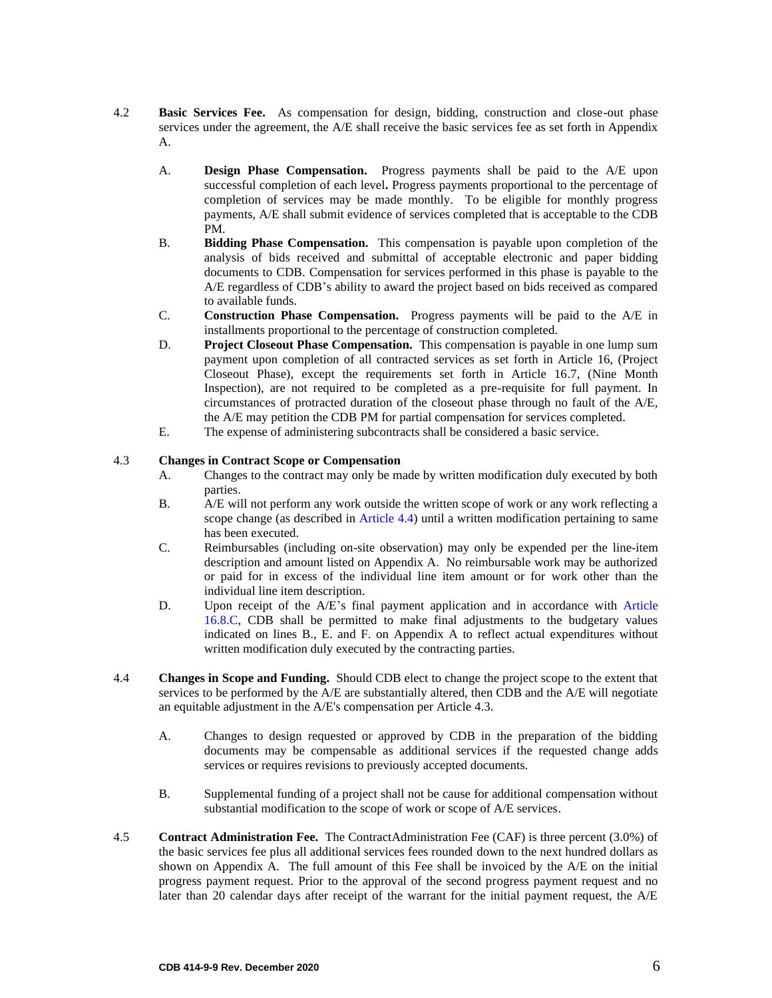- 4.2 **Basic Services Fee.** As compensation for design, bidding, construction and close-out phase services under the agreement, the A/E shall receive the basic services fee as set forth in Appendix A.
	- A. **Design Phase Compensation.** Progress payments shall be paid to the A/E upon successful completion of each level**.** Progress payments proportional to the percentage of completion of services may be made monthly. To be eligible for monthly progress payments, A/E shall submit evidence of services completed that is acceptable to the CDB PM.
	- B. **Bidding Phase Compensation.** This compensation is payable upon completion of the analysis of bids received and submittal of acceptable electronic and paper bidding documents to CDB. Compensation for services performed in this phase is payable to the A/E regardless of CDB's ability to award the project based on bids received as compared to available funds.
	- C. **Construction Phase Compensation.** Progress payments will be paid to the A/E in installments proportional to the percentage of construction completed.
	- D. **Project Closeout Phase Compensation.** This compensation is payable in one lump sum payment upon completion of all contracted services as set forth in Article 16, (Project Closeout Phase), except the requirements set forth in Article 16.7, (Nine Month Inspection), are not required to be completed as a pre-requisite for full payment. In circumstances of protracted duration of the closeout phase through no fault of the A/E, the A/E may petition the CDB PM for partial compensation for services completed.
	- E. The expense of administering subcontracts shall be considered a basic service.

#### 4.3 **Changes in Contract Scope or Compensation**

- A. Changes to the contract may only be made by written modification duly executed by both parties.
- B. A/E will not perform any work outside the written scope of work or any work reflecting a scope change (as described in Article 4.4) until a written modification pertaining to same has been executed.
- C. Reimbursables (including on-site observation) may only be expended per the line-item description and amount listed on Appendix A. No reimbursable work may be authorized or paid for in excess of the individual line item amount or for work other than the individual line item description.
- D. Upon receipt of the A/E's final payment application and in accordance with Article 16.8.C, CDB shall be permitted to make final adjustments to the budgetary values indicated on lines B., E. and F. on Appendix A to reflect actual expenditures without written modification duly executed by the contracting parties.
- 4.4 **Changes in Scope and Funding.** Should CDB elect to change the project scope to the extent that services to be performed by the A/E are substantially altered, then CDB and the A/E will negotiate an equitable adjustment in the A/E's compensation per Article 4.3.
	- A. Changes to design requested or approved by CDB in the preparation of the bidding documents may be compensable as additional services if the requested change adds services or requires revisions to previously accepted documents.
	- B. Supplemental funding of a project shall not be cause for additional compensation without substantial modification to the scope of work or scope of A/E services.
- 4.5 **Contract Administration Fee.** The ContractAdministration Fee (CAF) is three percent (3.0%) of the basic services fee plus all additional services fees rounded down to the next hundred dollars as shown on Appendix A. The full amount of this Fee shall be invoiced by the A/E on the initial progress payment request. Prior to the approval of the second progress payment request and no later than 20 calendar days after receipt of the warrant for the initial payment request, the A/E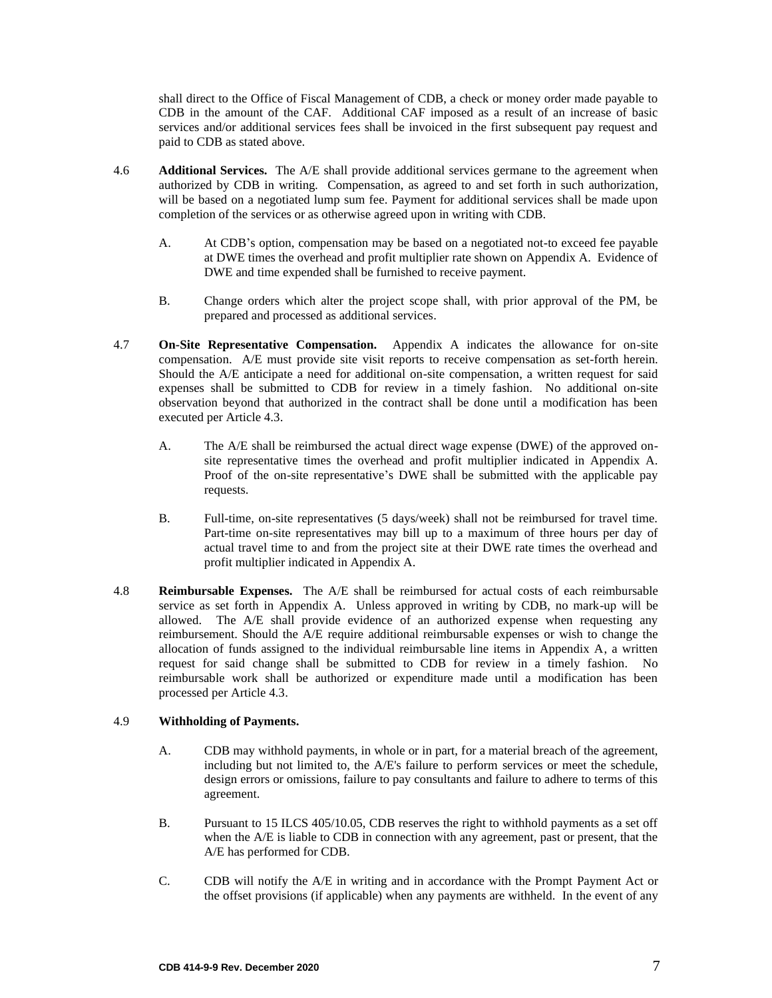shall direct to the Office of Fiscal Management of CDB, a check or money order made payable to CDB in the amount of the CAF. Additional CAF imposed as a result of an increase of basic services and/or additional services fees shall be invoiced in the first subsequent pay request and paid to CDB as stated above.

- 4.6 **Additional Services.** The A/E shall provide additional services germane to the agreement when authorized by CDB in writing*.* Compensation, as agreed to and set forth in such authorization*,*  will be based on a negotiated lump sum fee. Payment for additional services shall be made upon completion of the services or as otherwise agreed upon in writing with CDB.
	- A. At CDB's option, compensation may be based on a negotiated not-to exceed fee payable at DWE times the overhead and profit multiplier rate shown on Appendix A. Evidence of DWE and time expended shall be furnished to receive payment.
	- B. Change orders which alter the project scope shall, with prior approval of the PM, be prepared and processed as additional services.
- 4.7 **On-Site Representative Compensation.** Appendix A indicates the allowance for on-site compensation. A/E must provide site visit reports to receive compensation as set-forth herein. Should the A/E anticipate a need for additional on-site compensation, a written request for said expenses shall be submitted to CDB for review in a timely fashion. No additional on-site observation beyond that authorized in the contract shall be done until a modification has been executed per Article 4.3.
	- A. The A/E shall be reimbursed the actual direct wage expense (DWE) of the approved onsite representative times the overhead and profit multiplier indicated in Appendix A. Proof of the on-site representative's DWE shall be submitted with the applicable pay requests.
	- B. Full-time, on-site representatives (5 days/week) shall not be reimbursed for travel time. Part-time on-site representatives may bill up to a maximum of three hours per day of actual travel time to and from the project site at their DWE rate times the overhead and profit multiplier indicated in Appendix A.
- 4.8 **Reimbursable Expenses.** The A/E shall be reimbursed for actual costs of each reimbursable service as set forth in Appendix A. Unless approved in writing by CDB, no mark-up will be allowed. The A/E shall provide evidence of an authorized expense when requesting any reimbursement. Should the A/E require additional reimbursable expenses or wish to change the allocation of funds assigned to the individual reimbursable line items in Appendix A, a written request for said change shall be submitted to CDB for review in a timely fashion. No reimbursable work shall be authorized or expenditure made until a modification has been processed per Article 4.3.

## 4.9 **Withholding of Payments.**

- A. CDB may withhold payments, in whole or in part, for a material breach of the agreement, including but not limited to, the A/E's failure to perform services or meet the schedule, design errors or omissions, failure to pay consultants and failure to adhere to terms of this agreement.
- B. Pursuant to 15 ILCS 405/10.05, CDB reserves the right to withhold payments as a set off when the A/E is liable to CDB in connection with any agreement, past or present, that the A/E has performed for CDB.
- C. CDB will notify the A/E in writing and in accordance with the Prompt Payment Act or the offset provisions (if applicable) when any payments are withheld. In the event of any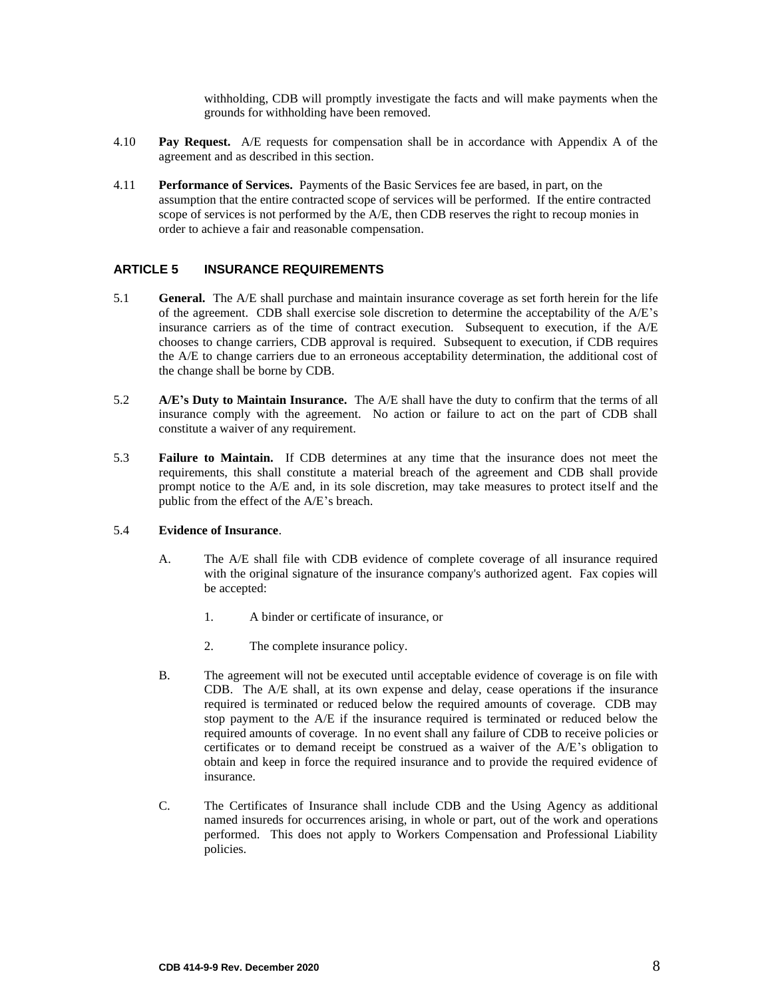<span id="page-9-0"></span>withholding, CDB will promptly investigate the facts and will make payments when the grounds for withholding have been removed.

- 4.10 **Pay Request.** A/E requests for compensation shall be in accordance with Appendix A of the agreement and as described in this section.
- 4.11 **Performance of Services.** Payments of the Basic Services fee are based, in part, on the assumption that the entire contracted scope of services will be performed. If the entire contracted scope of services is not performed by the A/E, then CDB reserves the right to recoup monies in order to achieve a fair and reasonable compensation.

## **ARTICLE 5 INSURANCE REQUIREMENTS**

- 5.1 **General.** The A/E shall purchase and maintain insurance coverage as set forth herein for the life of the agreement. CDB shall exercise sole discretion to determine the acceptability of the A/E's insurance carriers as of the time of contract execution. Subsequent to execution, if the A/E chooses to change carriers, CDB approval is required. Subsequent to execution, if CDB requires the A/E to change carriers due to an erroneous acceptability determination, the additional cost of the change shall be borne by CDB.
- 5.2 **A/E's Duty to Maintain Insurance.** The A/E shall have the duty to confirm that the terms of all insurance comply with the agreement. No action or failure to act on the part of CDB shall constitute a waiver of any requirement.
- 5.3 **Failure to Maintain.** If CDB determines at any time that the insurance does not meet the requirements, this shall constitute a material breach of the agreement and CDB shall provide prompt notice to the A/E and, in its sole discretion, may take measures to protect itself and the public from the effect of the A/E's breach.

### 5.4 **Evidence of Insurance**.

- A. The A/E shall file with CDB evidence of complete coverage of all insurance required with the original signature of the insurance company's authorized agent. Fax copies will be accepted:
	- 1. A binder or certificate of insurance, or
	- 2. The complete insurance policy.
- B. The agreement will not be executed until acceptable evidence of coverage is on file with CDB. The A/E shall, at its own expense and delay, cease operations if the insurance required is terminated or reduced below the required amounts of coverage. CDB may stop payment to the A/E if the insurance required is terminated or reduced below the required amounts of coverage. In no event shall any failure of CDB to receive policies or certificates or to demand receipt be construed as a waiver of the A/E's obligation to obtain and keep in force the required insurance and to provide the required evidence of insurance.
- C. The Certificates of Insurance shall include CDB and the Using Agency as additional named insureds for occurrences arising, in whole or part, out of the work and operations performed. This does not apply to Workers Compensation and Professional Liability policies.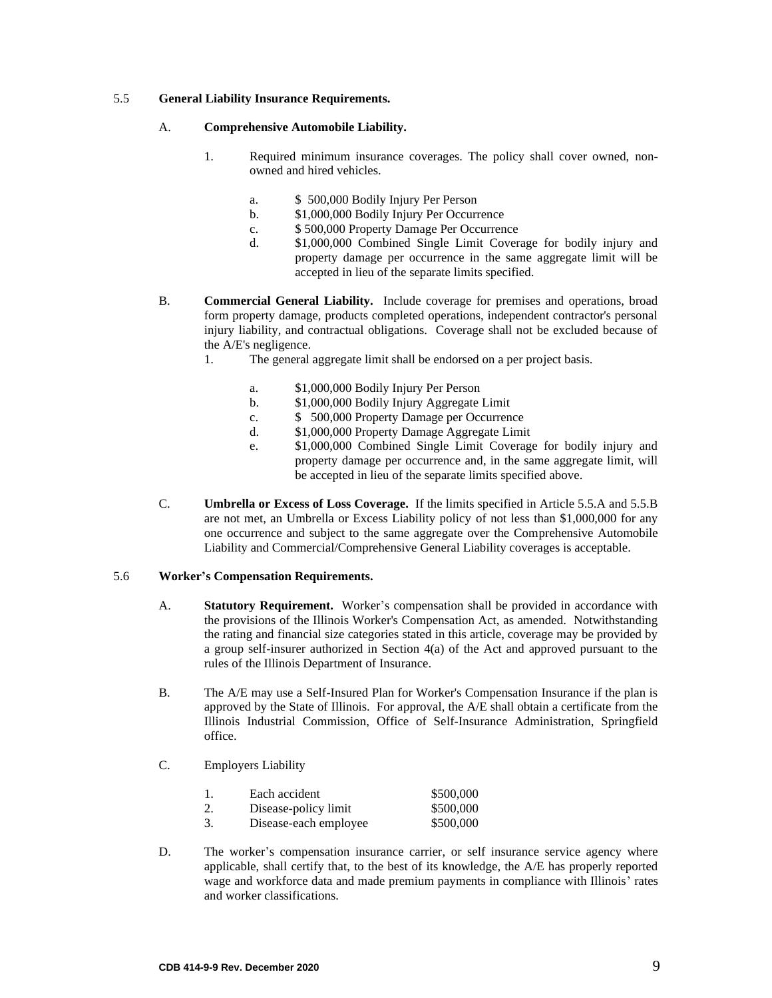### 5.5 **General Liability Insurance Requirements.**

#### A. **Comprehensive Automobile Liability.**

- 1. Required minimum insurance coverages. The policy shall cover owned, nonowned and hired vehicles.
	- a. \$ 500,000 Bodily Injury Per Person
	- b. \$1,000,000 Bodily Injury Per Occurrence
	- c. \$ 500,000 Property Damage Per Occurrence
	- d. \$1,000,000 Combined Single Limit Coverage for bodily injury and property damage per occurrence in the same aggregate limit will be accepted in lieu of the separate limits specified.
- B. **Commercial General Liability.** Include coverage for premises and operations, broad form property damage, products completed operations, independent contractor's personal injury liability, and contractual obligations. Coverage shall not be excluded because of the A/E's negligence.
	- 1. The general aggregate limit shall be endorsed on a per project basis.
		- a. \$1,000,000 Bodily Injury Per Person
		- b. \$1,000,000 Bodily Injury Aggregate Limit
		- c. \$ 500,000 Property Damage per Occurrence
		- d. \$1,000,000 Property Damage Aggregate Limit
		- e. \$1,000,000 Combined Single Limit Coverage for bodily injury and property damage per occurrence and, in the same aggregate limit, will be accepted in lieu of the separate limits specified above.
- C. **Umbrella or Excess of Loss Coverage.** If the limits specified in Article 5.5.A and 5.5.B are not met, an Umbrella or Excess Liability policy of not less than \$1,000,000 for any one occurrence and subject to the same aggregate over the Comprehensive Automobile Liability and Commercial/Comprehensive General Liability coverages is acceptable.

## 5.6 **Worker's Compensation Requirements.**

- A. **Statutory Requirement.** Worker's compensation shall be provided in accordance with the provisions of the Illinois Worker's Compensation Act, as amended. Notwithstanding the rating and financial size categories stated in this article, coverage may be provided by a group self-insurer authorized in Section 4(a) of the Act and approved pursuant to the rules of the Illinois Department of Insurance.
- B. The A/E may use a Self-Insured Plan for Worker's Compensation Insurance if the plan is approved by the State of Illinois. For approval, the A/E shall obtain a certificate from the Illinois Industrial Commission, Office of Self-Insurance Administration, Springfield office.
- C. Employers Liability

| 1. | Each accident         | \$500,000 |
|----|-----------------------|-----------|
| 2. | Disease-policy limit  | \$500,000 |
| 3. | Disease-each employee | \$500,000 |

D. The worker's compensation insurance carrier, or self insurance service agency where applicable, shall certify that, to the best of its knowledge, the A/E has properly reported wage and workforce data and made premium payments in compliance with Illinois' rates and worker classifications.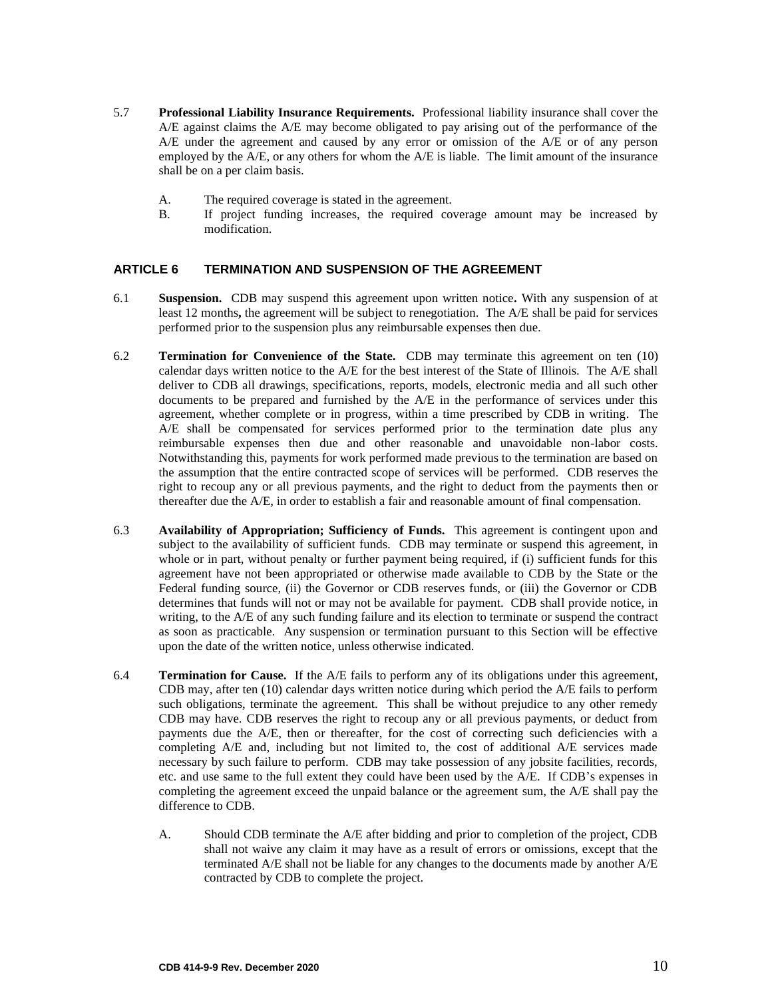- 5.7 **Professional Liability Insurance Requirements.** Professional liability insurance shall cover the A/E against claims the A/E may become obligated to pay arising out of the performance of the A/E under the agreement and caused by any error or omission of the A/E or of any person employed by the A/E, or any others for whom the A/E is liable. The limit amount of the insurance shall be on a per claim basis.
	- A. The required coverage is stated in the agreement.
	- B. If project funding increases, the required coverage amount may be increased by modification.

## <span id="page-11-0"></span>**ARTICLE 6 TERMINATION AND SUSPENSION OF THE AGREEMENT**

- 6.1 **Suspension.** CDB may suspend this agreement upon written notice**.** With any suspension of at least 12 months**,** the agreement will be subject to renegotiation. The A/E shall be paid for services performed prior to the suspension plus any reimbursable expenses then due.
- 6.2 **Termination for Convenience of the State.** CDB may terminate this agreement on ten (10) calendar days written notice to the A/E for the best interest of the State of Illinois. The A/E shall deliver to CDB all drawings, specifications, reports, models, electronic media and all such other documents to be prepared and furnished by the A/E in the performance of services under this agreement, whether complete or in progress, within a time prescribed by CDB in writing. The A/E shall be compensated for services performed prior to the termination date plus any reimbursable expenses then due and other reasonable and unavoidable non-labor costs. Notwithstanding this, payments for work performed made previous to the termination are based on the assumption that the entire contracted scope of services will be performed. CDB reserves the right to recoup any or all previous payments, and the right to deduct from the payments then or thereafter due the A/E, in order to establish a fair and reasonable amount of final compensation.
- 6.3 **Availability of Appropriation; Sufficiency of Funds.** This agreement is contingent upon and subject to the availability of sufficient funds. CDB may terminate or suspend this agreement, in whole or in part, without penalty or further payment being required, if (i) sufficient funds for this agreement have not been appropriated or otherwise made available to CDB by the State or the Federal funding source, (ii) the Governor or CDB reserves funds, or (iii) the Governor or CDB determines that funds will not or may not be available for payment. CDB shall provide notice, in writing, to the A/E of any such funding failure and its election to terminate or suspend the contract as soon as practicable. Any suspension or termination pursuant to this Section will be effective upon the date of the written notice, unless otherwise indicated.
- 6.4 **Termination for Cause.** If the A/E fails to perform any of its obligations under this agreement, CDB may, after ten (10) calendar days written notice during which period the A/E fails to perform such obligations, terminate the agreement. This shall be without prejudice to any other remedy CDB may have. CDB reserves the right to recoup any or all previous payments, or deduct from payments due the A/E, then or thereafter, for the cost of correcting such deficiencies with a completing A/E and, including but not limited to, the cost of additional A/E services made necessary by such failure to perform. CDB may take possession of any jobsite facilities, records, etc. and use same to the full extent they could have been used by the A/E. If CDB's expenses in completing the agreement exceed the unpaid balance or the agreement sum, the A/E shall pay the difference to CDB.
	- A. Should CDB terminate the A/E after bidding and prior to completion of the project, CDB shall not waive any claim it may have as a result of errors or omissions, except that the terminated A/E shall not be liable for any changes to the documents made by another A/E contracted by CDB to complete the project.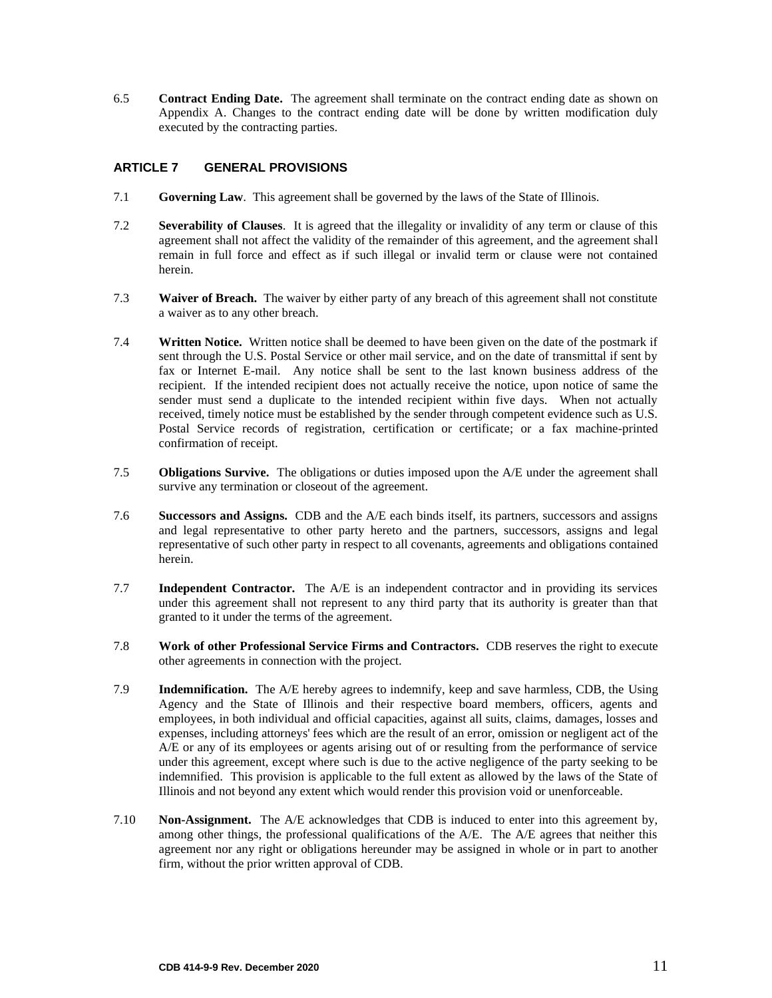6.5 **Contract Ending Date.** The agreement shall terminate on the contract ending date as shown on Appendix A. Changes to the contract ending date will be done by written modification duly executed by the contracting parties.

## <span id="page-12-0"></span>**ARTICLE 7 GENERAL PROVISIONS**

- 7.1 **Governing Law**. This agreement shall be governed by the laws of the State of Illinois.
- 7.2 **Severability of Clauses**. It is agreed that the illegality or invalidity of any term or clause of this agreement shall not affect the validity of the remainder of this agreement, and the agreement shall remain in full force and effect as if such illegal or invalid term or clause were not contained herein.
- 7.3 **Waiver of Breach.** The waiver by either party of any breach of this agreement shall not constitute a waiver as to any other breach.
- 7.4 **Written Notice.** Written notice shall be deemed to have been given on the date of the postmark if sent through the U.S. Postal Service or other mail service, and on the date of transmittal if sent by fax or Internet E-mail. Any notice shall be sent to the last known business address of the recipient. If the intended recipient does not actually receive the notice, upon notice of same the sender must send a duplicate to the intended recipient within five days. When not actually received, timely notice must be established by the sender through competent evidence such as U.S. Postal Service records of registration, certification or certificate; or a fax machine-printed confirmation of receipt.
- 7.5 **Obligations Survive.** The obligations or duties imposed upon the A/E under the agreement shall survive any termination or closeout of the agreement.
- 7.6 **Successors and Assigns.** CDB and the A/E each binds itself, its partners, successors and assigns and legal representative to other party hereto and the partners, successors, assigns and legal representative of such other party in respect to all covenants, agreements and obligations contained herein.
- 7.7 **Independent Contractor.** The A/E is an independent contractor and in providing its services under this agreement shall not represent to any third party that its authority is greater than that granted to it under the terms of the agreement.
- 7.8 **Work of other Professional Service Firms and Contractors.** CDB reserves the right to execute other agreements in connection with the project.
- 7.9 **Indemnification.** The A/E hereby agrees to indemnify, keep and save harmless, CDB, the Using Agency and the State of Illinois and their respective board members, officers, agents and employees, in both individual and official capacities, against all suits, claims, damages, losses and expenses, including attorneys' fees which are the result of an error, omission or negligent act of the A/E or any of its employees or agents arising out of or resulting from the performance of service under this agreement, except where such is due to the active negligence of the party seeking to be indemnified. This provision is applicable to the full extent as allowed by the laws of the State of Illinois and not beyond any extent which would render this provision void or unenforceable.
- 7.10 **Non-Assignment.** The A/E acknowledges that CDB is induced to enter into this agreement by, among other things, the professional qualifications of the A/E. The A/E agrees that neither this agreement nor any right or obligations hereunder may be assigned in whole or in part to another firm, without the prior written approval of CDB.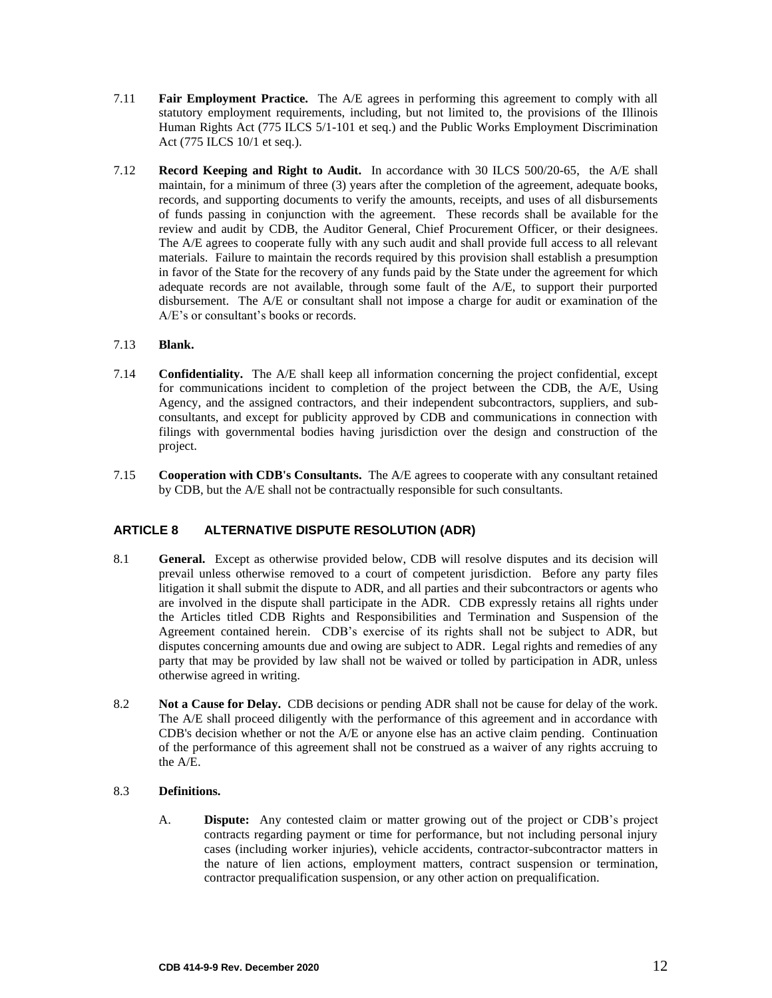- 7.11 **Fair Employment Practice.** The A/E agrees in performing this agreement to comply with all statutory employment requirements, including, but not limited to, the provisions of the Illinois Human Rights Act (775 ILCS 5/1-101 et seq.) and the Public Works Employment Discrimination Act (775 ILCS 10/1 et seq.).
- 7.12 **Record Keeping and Right to Audit.** In accordance with 30 ILCS 500/20-65, the A/E shall maintain, for a minimum of three (3) years after the completion of the agreement, adequate books, records, and supporting documents to verify the amounts, receipts, and uses of all disbursements of funds passing in conjunction with the agreement. These records shall be available for the review and audit by CDB, the Auditor General, Chief Procurement Officer, or their designees. The A/E agrees to cooperate fully with any such audit and shall provide full access to all relevant materials. Failure to maintain the records required by this provision shall establish a presumption in favor of the State for the recovery of any funds paid by the State under the agreement for which adequate records are not available, through some fault of the A/E, to support their purported disbursement. The A/E or consultant shall not impose a charge for audit or examination of the A/E's or consultant's books or records.

## 7.13 **Blank.**

- 7.14 **Confidentiality.** The A/E shall keep all information concerning the project confidential, except for communications incident to completion of the project between the CDB, the A/E, Using Agency, and the assigned contractors, and their independent subcontractors, suppliers, and subconsultants, and except for publicity approved by CDB and communications in connection with filings with governmental bodies having jurisdiction over the design and construction of the project.
- 7.15 **Cooperation with CDB's Consultants.** The A/E agrees to cooperate with any consultant retained by CDB, but the A/E shall not be contractually responsible for such consultants.

## <span id="page-13-0"></span>**ARTICLE 8 ALTERNATIVE DISPUTE RESOLUTION (ADR)**

- 8.1 **General.** Except as otherwise provided below, CDB will resolve disputes and its decision will prevail unless otherwise removed to a court of competent jurisdiction. Before any party files litigation it shall submit the dispute to ADR, and all parties and their subcontractors or agents who are involved in the dispute shall participate in the ADR. CDB expressly retains all rights under the Articles titled CDB Rights and Responsibilities and Termination and Suspension of the Agreement contained herein. CDB's exercise of its rights shall not be subject to ADR, but disputes concerning amounts due and owing are subject to ADR. Legal rights and remedies of any party that may be provided by law shall not be waived or tolled by participation in ADR, unless otherwise agreed in writing.
- 8.2 **Not a Cause for Delay.** CDB decisions or pending ADR shall not be cause for delay of the work. The A/E shall proceed diligently with the performance of this agreement and in accordance with CDB's decision whether or not the A/E or anyone else has an active claim pending. Continuation of the performance of this agreement shall not be construed as a waiver of any rights accruing to the A/E.

## 8.3 **Definitions.**

A. **Dispute:** Any contested claim or matter growing out of the project or CDB's project contracts regarding payment or time for performance, but not including personal injury cases (including worker injuries), vehicle accidents, contractor-subcontractor matters in the nature of lien actions, employment matters, contract suspension or termination, contractor prequalification suspension, or any other action on prequalification.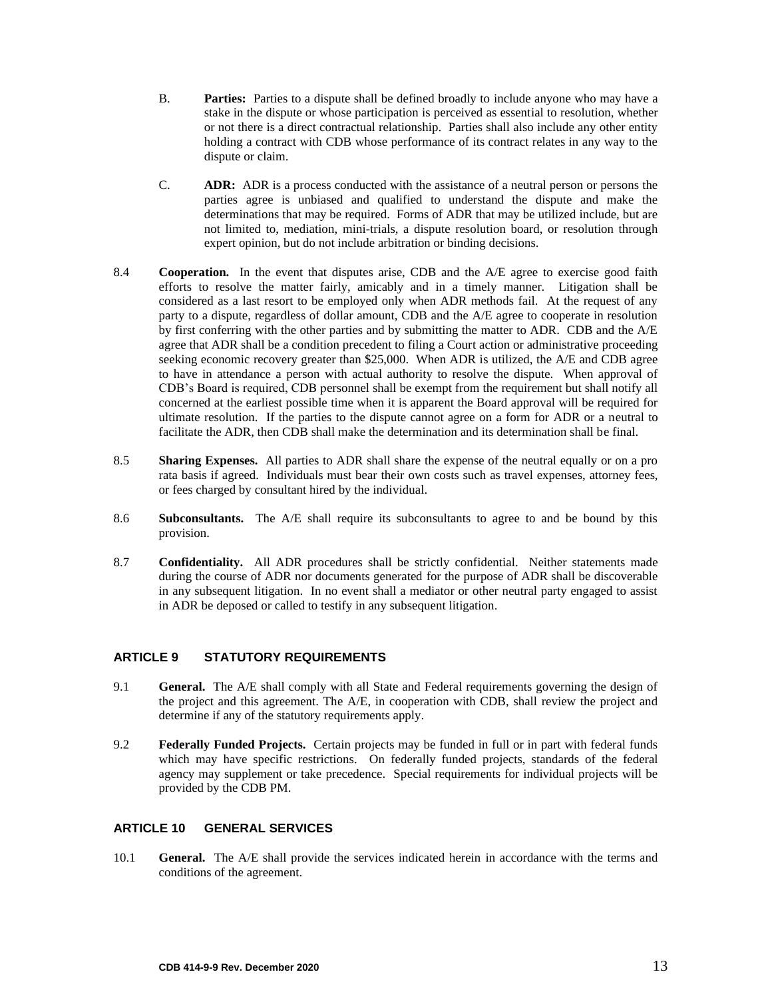- B. **Parties:** Parties to a dispute shall be defined broadly to include anyone who may have a stake in the dispute or whose participation is perceived as essential to resolution, whether or not there is a direct contractual relationship. Parties shall also include any other entity holding a contract with CDB whose performance of its contract relates in any way to the dispute or claim.
- C. **ADR:** ADR is a process conducted with the assistance of a neutral person or persons the parties agree is unbiased and qualified to understand the dispute and make the determinations that may be required. Forms of ADR that may be utilized include, but are not limited to, mediation, mini-trials, a dispute resolution board, or resolution through expert opinion, but do not include arbitration or binding decisions.
- 8.4 **Cooperation.** In the event that disputes arise, CDB and the A/E agree to exercise good faith efforts to resolve the matter fairly, amicably and in a timely manner. Litigation shall be considered as a last resort to be employed only when ADR methods fail. At the request of any party to a dispute, regardless of dollar amount, CDB and the A/E agree to cooperate in resolution by first conferring with the other parties and by submitting the matter to ADR. CDB and the A/E agree that ADR shall be a condition precedent to filing a Court action or administrative proceeding seeking economic recovery greater than \$25,000. When ADR is utilized, the A/E and CDB agree to have in attendance a person with actual authority to resolve the dispute. When approval of CDB's Board is required, CDB personnel shall be exempt from the requirement but shall notify all concerned at the earliest possible time when it is apparent the Board approval will be required for ultimate resolution. If the parties to the dispute cannot agree on a form for ADR or a neutral to facilitate the ADR, then CDB shall make the determination and its determination shall be final.
- 8.5 **Sharing Expenses.** All parties to ADR shall share the expense of the neutral equally or on a pro rata basis if agreed. Individuals must bear their own costs such as travel expenses, attorney fees, or fees charged by consultant hired by the individual.
- 8.6 **Subconsultants.** The A/E shall require its subconsultants to agree to and be bound by this provision.
- 8.7 **Confidentiality.** All ADR procedures shall be strictly confidential. Neither statements made during the course of ADR nor documents generated for the purpose of ADR shall be discoverable in any subsequent litigation. In no event shall a mediator or other neutral party engaged to assist in ADR be deposed or called to testify in any subsequent litigation.

## <span id="page-14-0"></span>**ARTICLE 9 STATUTORY REQUIREMENTS**

- 9.1 **General.** The A/E shall comply with all State and Federal requirements governing the design of the project and this agreement. The A/E, in cooperation with CDB, shall review the project and determine if any of the statutory requirements apply.
- 9.2 **Federally Funded Projects.** Certain projects may be funded in full or in part with federal funds which may have specific restrictions. On federally funded projects, standards of the federal agency may supplement or take precedence. Special requirements for individual projects will be provided by the CDB PM.

#### **ARTICLE 10 GENERAL SERVICES**

10.1 **General.** The A/E shall provide the services indicated herein in accordance with the terms and conditions of the agreement.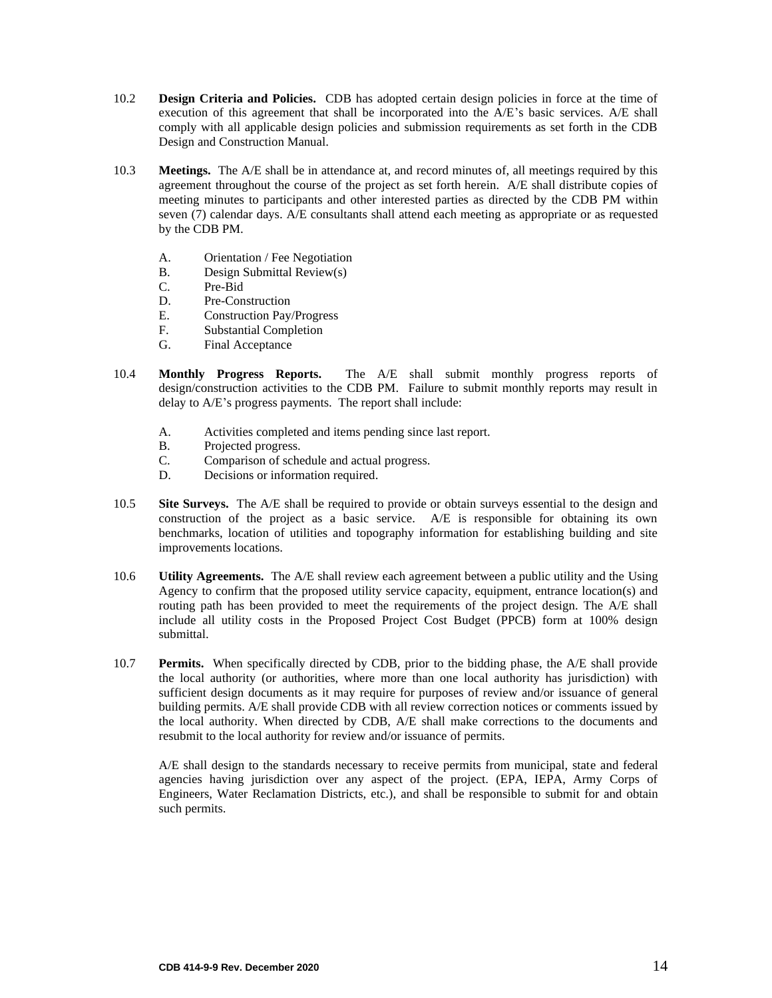- 10.2 **Design Criteria and Policies.** CDB has adopted certain design policies in force at the time of execution of this agreement that shall be incorporated into the A/E's basic services. A/E shall comply with all applicable design policies and submission requirements as set forth in the CDB Design and Construction Manual.
- 10.3 **Meetings.** The A/E shall be in attendance at, and record minutes of, all meetings required by this agreement throughout the course of the project as set forth herein. A/E shall distribute copies of meeting minutes to participants and other interested parties as directed by the CDB PM within seven (7) calendar days. A/E consultants shall attend each meeting as appropriate or as requested by the CDB PM.
	- A. Orientation / Fee Negotiation
	- B. Design Submittal Review(s)
	- C. Pre-Bid
	- D. Pre-Construction
	- E. Construction Pay/Progress
	- F. Substantial Completion
	- G. Final Acceptance
- 10.4 **Monthly Progress Reports.** The A/E shall submit monthly progress reports of design/construction activities to the CDB PM. Failure to submit monthly reports may result in delay to A/E's progress payments. The report shall include:
	- A. Activities completed and items pending since last report.
	- B. Projected progress.
	- C. Comparison of schedule and actual progress.
	- D. Decisions or information required.
- 10.5 **Site Surveys.** The A/E shall be required to provide or obtain surveys essential to the design and construction of the project as a basic service. A/E is responsible for obtaining its own benchmarks, location of utilities and topography information for establishing building and site improvements locations.
- 10.6 **Utility Agreements.** The A/E shall review each agreement between a public utility and the Using Agency to confirm that the proposed utility service capacity, equipment, entrance location(s) and routing path has been provided to meet the requirements of the project design. The A/E shall include all utility costs in the Proposed Project Cost Budget (PPCB) form at 100% design submittal.
- 10.7 **Permits.** When specifically directed by CDB, prior to the bidding phase, the A/E shall provide the local authority (or authorities, where more than one local authority has jurisdiction) with sufficient design documents as it may require for purposes of review and/or issuance of general building permits. A/E shall provide CDB with all review correction notices or comments issued by the local authority. When directed by CDB, A/E shall make corrections to the documents and resubmit to the local authority for review and/or issuance of permits.

A/E shall design to the standards necessary to receive permits from municipal, state and federal agencies having jurisdiction over any aspect of the project. (EPA, IEPA, Army Corps of Engineers, Water Reclamation Districts, etc.), and shall be responsible to submit for and obtain such permits.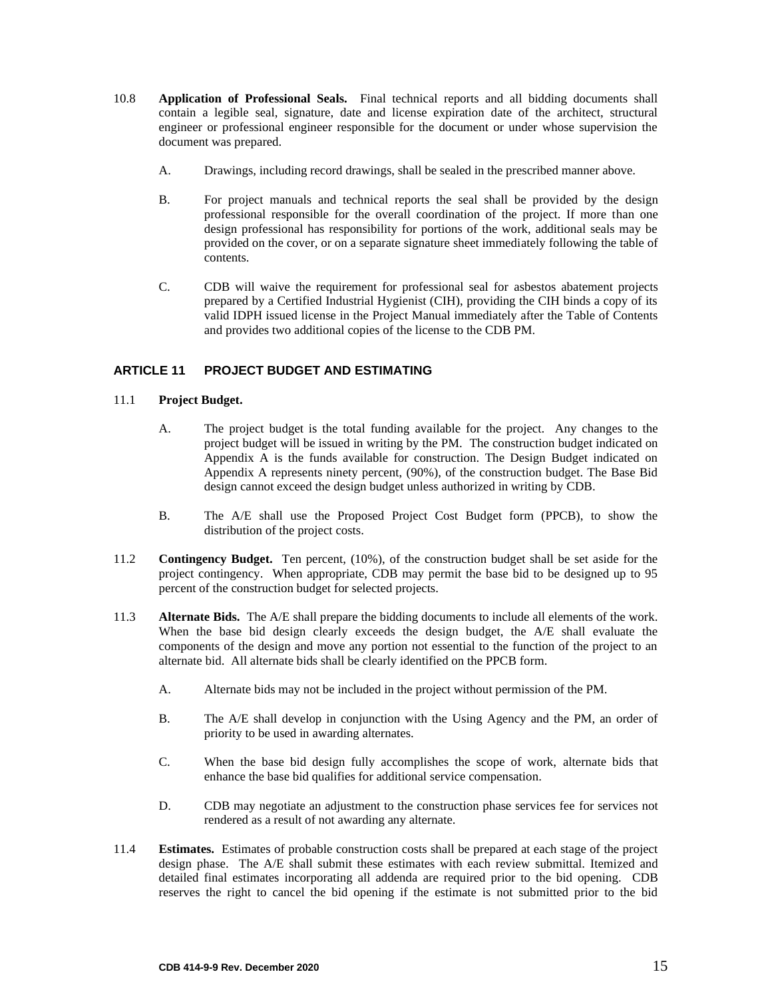- 10.8 **Application of Professional Seals.** Final technical reports and all bidding documents shall contain a legible seal, signature, date and license expiration date of the architect, structural engineer or professional engineer responsible for the document or under whose supervision the document was prepared.
	- A. Drawings, including record drawings, shall be sealed in the prescribed manner above.
	- B. For project manuals and technical reports the seal shall be provided by the design professional responsible for the overall coordination of the project. If more than one design professional has responsibility for portions of the work, additional seals may be provided on the cover, or on a separate signature sheet immediately following the table of contents.
	- C. CDB will waive the requirement for professional seal for asbestos abatement projects prepared by a Certified Industrial Hygienist (CIH), providing the CIH binds a copy of its valid IDPH issued license in the Project Manual immediately after the Table of Contents and provides two additional copies of the license to the CDB PM.

## <span id="page-16-0"></span>**ARTICLE 11 PROJECT BUDGET AND ESTIMATING**

- 11.1 **Project Budget.** 
	- A. The project budget is the total funding available for the project. Any changes to the project budget will be issued in writing by the PM. The construction budget indicated on Appendix A is the funds available for construction. The Design Budget indicated on Appendix A represents ninety percent, (90%), of the construction budget. The Base Bid design cannot exceed the design budget unless authorized in writing by CDB.
	- B. The A/E shall use the Proposed Project Cost Budget form (PPCB), to show the distribution of the project costs.
- 11.2 **Contingency Budget.** Ten percent, (10%), of the construction budget shall be set aside for the project contingency. When appropriate, CDB may permit the base bid to be designed up to 95 percent of the construction budget for selected projects.
- 11.3 **Alternate Bids.** The A/E shall prepare the bidding documents to include all elements of the work. When the base bid design clearly exceeds the design budget, the A/E shall evaluate the components of the design and move any portion not essential to the function of the project to an alternate bid. All alternate bids shall be clearly identified on the PPCB form.
	- A. Alternate bids may not be included in the project without permission of the PM.
	- B. The A/E shall develop in conjunction with the Using Agency and the PM, an order of priority to be used in awarding alternates.
	- C. When the base bid design fully accomplishes the scope of work, alternate bids that enhance the base bid qualifies for additional service compensation.
	- D. CDB may negotiate an adjustment to the construction phase services fee for services not rendered as a result of not awarding any alternate.
- 11.4 **Estimates.** Estimates of probable construction costs shall be prepared at each stage of the project design phase. The A/E shall submit these estimates with each review submittal. Itemized and detailed final estimates incorporating all addenda are required prior to the bid opening. CDB reserves the right to cancel the bid opening if the estimate is not submitted prior to the bid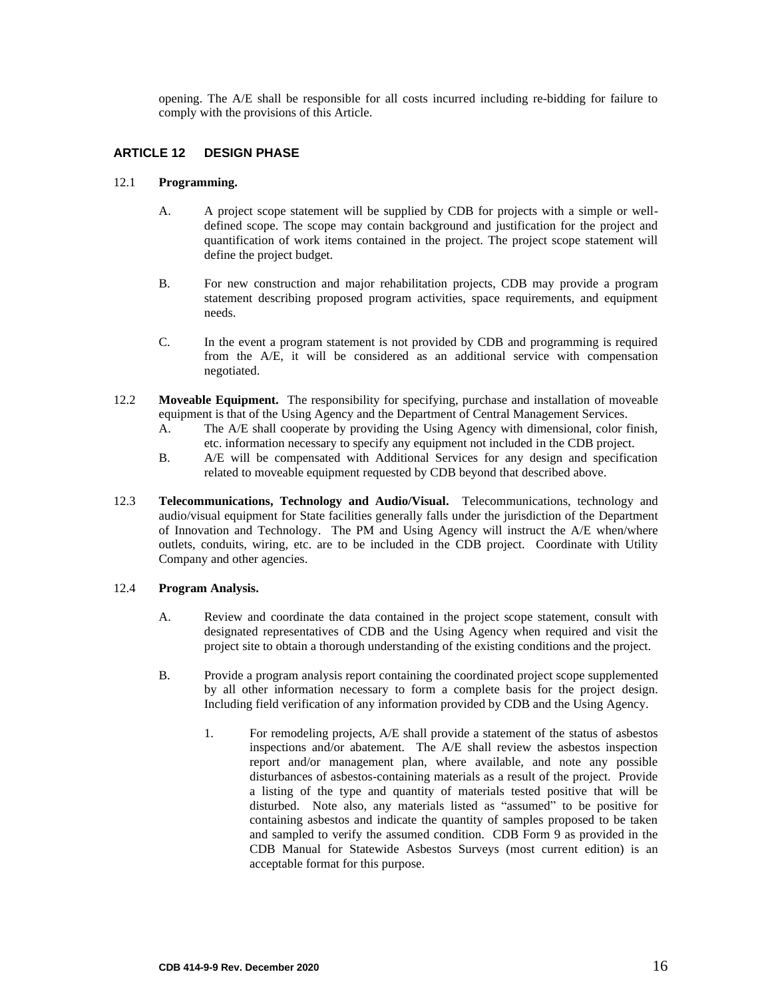<span id="page-17-0"></span>opening. The A/E shall be responsible for all costs incurred including re-bidding for failure to comply with the provisions of this Article.

## **ARTICLE 12 DESIGN PHASE**

## 12.1 **Programming.**

- A. A project scope statement will be supplied by CDB for projects with a simple or welldefined scope. The scope may contain background and justification for the project and quantification of work items contained in the project. The project scope statement will define the project budget.
- B. For new construction and major rehabilitation projects, CDB may provide a program statement describing proposed program activities, space requirements, and equipment needs.
- C. In the event a program statement is not provided by CDB and programming is required from the A/E, it will be considered as an additional service with compensation negotiated.
- 12.2 **Moveable Equipment.** The responsibility for specifying, purchase and installation of moveable equipment is that of the Using Agency and the Department of Central Management Services.
	- A. The A/E shall cooperate by providing the Using Agency with dimensional, color finish, etc. information necessary to specify any equipment not included in the CDB project.
	- B. A/E will be compensated with Additional Services for any design and specification related to moveable equipment requested by CDB beyond that described above.
- 12.3 **Telecommunications, Technology and Audio/Visual.** Telecommunications, technology and audio/visual equipment for State facilities generally falls under the jurisdiction of the Department of Innovation and Technology. The PM and Using Agency will instruct the A/E when/where outlets, conduits, wiring, etc. are to be included in the CDB project. Coordinate with Utility Company and other agencies.

#### 12.4 **Program Analysis.**

- A. Review and coordinate the data contained in the project scope statement, consult with designated representatives of CDB and the Using Agency when required and visit the project site to obtain a thorough understanding of the existing conditions and the project.
- B. Provide a program analysis report containing the coordinated project scope supplemented by all other information necessary to form a complete basis for the project design. Including field verification of any information provided by CDB and the Using Agency.
	- 1. For remodeling projects, A/E shall provide a statement of the status of asbestos inspections and/or abatement. The A/E shall review the asbestos inspection report and/or management plan, where available, and note any possible disturbances of asbestos-containing materials as a result of the project. Provide a listing of the type and quantity of materials tested positive that will be disturbed. Note also, any materials listed as "assumed" to be positive for containing asbestos and indicate the quantity of samples proposed to be taken and sampled to verify the assumed condition. CDB Form 9 as provided in the CDB Manual for Statewide Asbestos Surveys (most current edition) is an acceptable format for this purpose.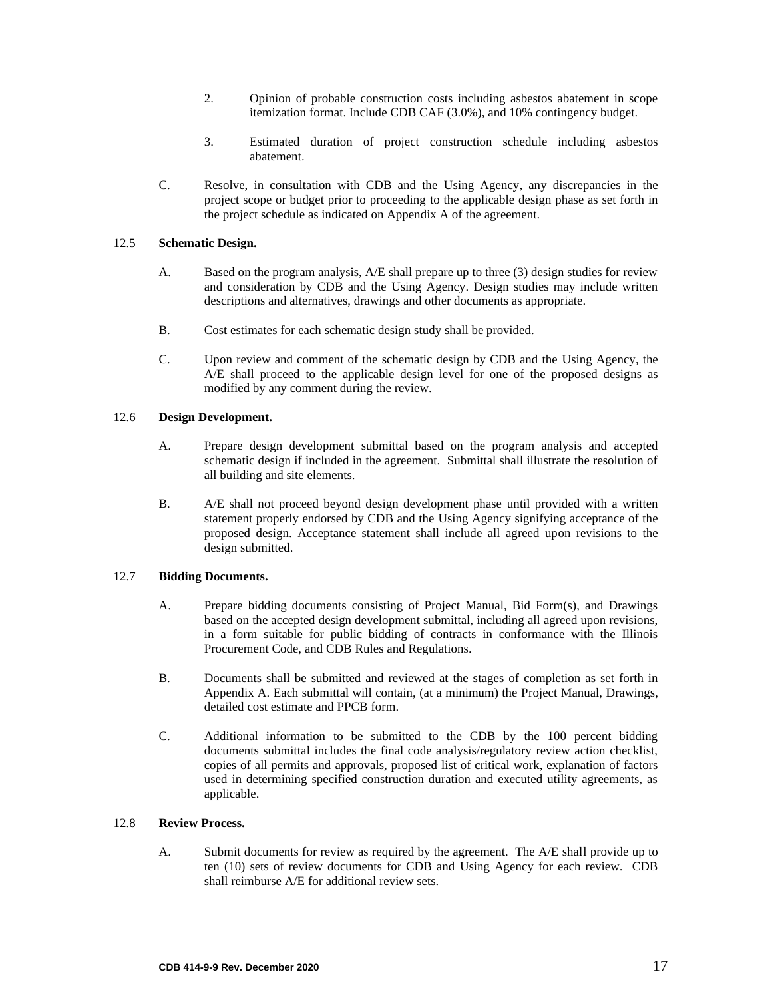- 2. Opinion of probable construction costs including asbestos abatement in scope itemization format. Include CDB CAF (3.0%), and 10% contingency budget.
- 3. Estimated duration of project construction schedule including asbestos abatement.
- C. Resolve, in consultation with CDB and the Using Agency, any discrepancies in the project scope or budget prior to proceeding to the applicable design phase as set forth in the project schedule as indicated on Appendix A of the agreement.

#### 12.5 **Schematic Design.**

- A. Based on the program analysis, A/E shall prepare up to three (3) design studies for review and consideration by CDB and the Using Agency. Design studies may include written descriptions and alternatives, drawings and other documents as appropriate.
- B. Cost estimates for each schematic design study shall be provided.
- C. Upon review and comment of the schematic design by CDB and the Using Agency, the A/E shall proceed to the applicable design level for one of the proposed designs as modified by any comment during the review.

#### 12.6 **Design Development.**

- A. Prepare design development submittal based on the program analysis and accepted schematic design if included in the agreement. Submittal shall illustrate the resolution of all building and site elements.
- B. A/E shall not proceed beyond design development phase until provided with a written statement properly endorsed by CDB and the Using Agency signifying acceptance of the proposed design. Acceptance statement shall include all agreed upon revisions to the design submitted.

## 12.7 **Bidding Documents.**

- A. Prepare bidding documents consisting of Project Manual, Bid Form(s), and Drawings based on the accepted design development submittal, including all agreed upon revisions, in a form suitable for public bidding of contracts in conformance with the Illinois Procurement Code, and CDB Rules and Regulations.
- B. Documents shall be submitted and reviewed at the stages of completion as set forth in Appendix A. Each submittal will contain, (at a minimum) the Project Manual, Drawings, detailed cost estimate and PPCB form.
- C. Additional information to be submitted to the CDB by the 100 percent bidding documents submittal includes the final code analysis/regulatory review action checklist, copies of all permits and approvals, proposed list of critical work, explanation of factors used in determining specified construction duration and executed utility agreements, as applicable.

#### 12.8 **Review Process.**

A. Submit documents for review as required by the agreement. The A/E shall provide up to ten (10) sets of review documents for CDB and Using Agency for each review. CDB shall reimburse A/E for additional review sets.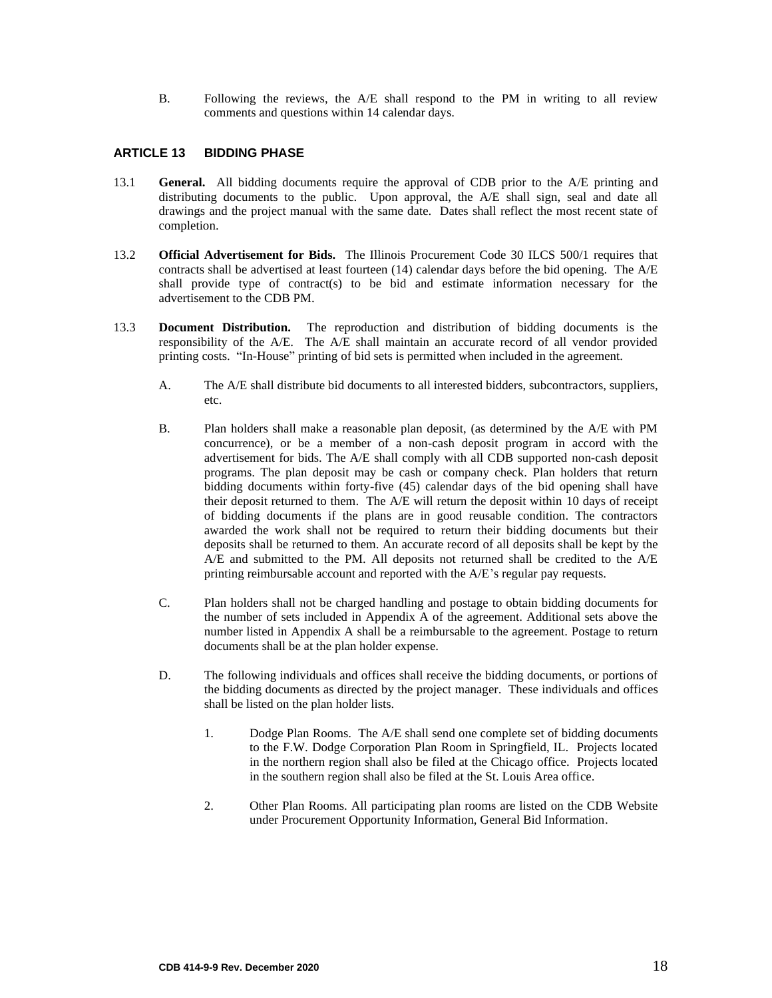<span id="page-19-0"></span>B. Following the reviews, the A/E shall respond to the PM in writing to all review comments and questions within 14 calendar days.

## **ARTICLE 13 BIDDING PHASE**

- 13.1 **General.** All bidding documents require the approval of CDB prior to the A/E printing and distributing documents to the public. Upon approval, the A/E shall sign, seal and date all drawings and the project manual with the same date. Dates shall reflect the most recent state of completion.
- 13.2 **Official Advertisement for Bids.** The Illinois Procurement Code 30 ILCS 500/1 requires that contracts shall be advertised at least fourteen (14) calendar days before the bid opening. The A/E shall provide type of contract(s) to be bid and estimate information necessary for the advertisement to the CDB PM.
- 13.3 **Document Distribution.** The reproduction and distribution of bidding documents is the responsibility of the A/E. The A/E shall maintain an accurate record of all vendor provided printing costs. "In-House" printing of bid sets is permitted when included in the agreement.
	- A. The A/E shall distribute bid documents to all interested bidders, subcontractors, suppliers, etc.
	- B. Plan holders shall make a reasonable plan deposit, (as determined by the A/E with PM concurrence), or be a member of a non-cash deposit program in accord with the advertisement for bids. The A/E shall comply with all CDB supported non-cash deposit programs. The plan deposit may be cash or company check. Plan holders that return bidding documents within forty-five (45) calendar days of the bid opening shall have their deposit returned to them. The A/E will return the deposit within 10 days of receipt of bidding documents if the plans are in good reusable condition. The contractors awarded the work shall not be required to return their bidding documents but their deposits shall be returned to them. An accurate record of all deposits shall be kept by the A/E and submitted to the PM. All deposits not returned shall be credited to the A/E printing reimbursable account and reported with the A/E's regular pay requests.
	- C. Plan holders shall not be charged handling and postage to obtain bidding documents for the number of sets included in Appendix A of the agreement. Additional sets above the number listed in Appendix A shall be a reimbursable to the agreement. Postage to return documents shall be at the plan holder expense.
	- D. The following individuals and offices shall receive the bidding documents, or portions of the bidding documents as directed by the project manager. These individuals and offices shall be listed on the plan holder lists.
		- 1. Dodge Plan Rooms. The A/E shall send one complete set of bidding documents to the F.W. Dodge Corporation Plan Room in Springfield, IL. Projects located in the northern region shall also be filed at the Chicago office. Projects located in the southern region shall also be filed at the St. Louis Area office.
		- 2. Other Plan Rooms. All participating plan rooms are listed on the CDB Website under Procurement Opportunity Information, General Bid Information.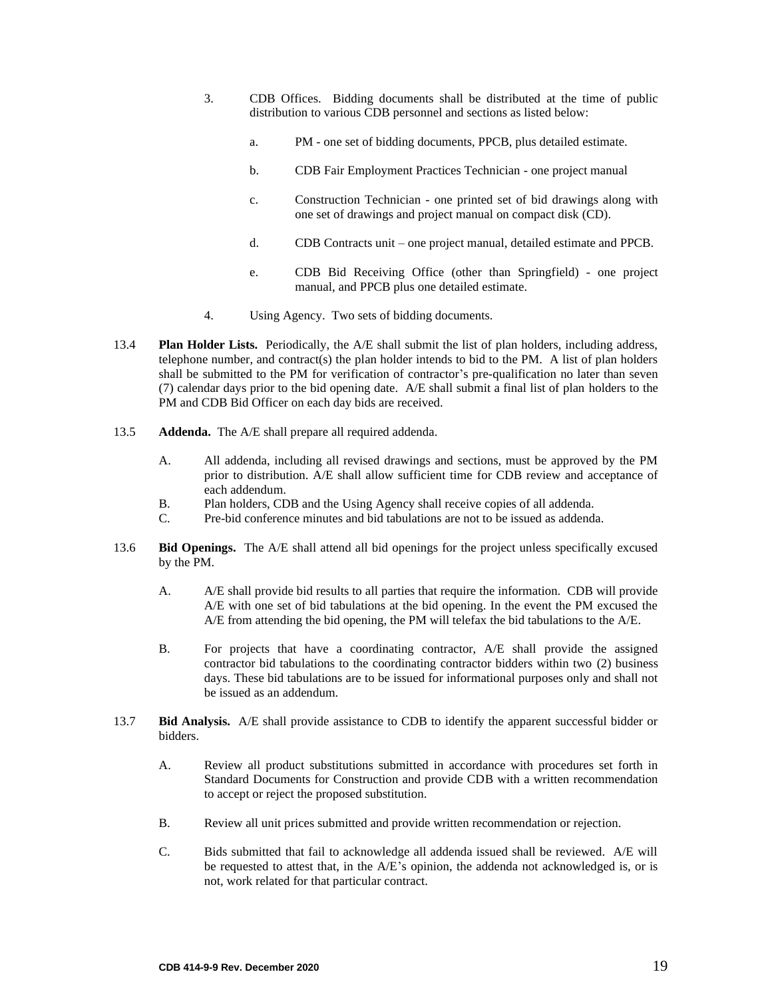- 3. CDB Offices. Bidding documents shall be distributed at the time of public distribution to various CDB personnel and sections as listed below:
	- a. PM one set of bidding documents, PPCB, plus detailed estimate.
	- b. CDB Fair Employment Practices Technician one project manual
	- c. Construction Technician one printed set of bid drawings along with one set of drawings and project manual on compact disk (CD).
	- d. CDB Contracts unit one project manual, detailed estimate and PPCB.
	- e. CDB Bid Receiving Office (other than Springfield) one project manual, and PPCB plus one detailed estimate.
- 4. Using Agency. Two sets of bidding documents.
- 13.4 **Plan Holder Lists.** Periodically, the A/E shall submit the list of plan holders, including address, telephone number, and contract(s) the plan holder intends to bid to the PM. A list of plan holders shall be submitted to the PM for verification of contractor's pre-qualification no later than seven (7) calendar days prior to the bid opening date. A/E shall submit a final list of plan holders to the PM and CDB Bid Officer on each day bids are received.
- 13.5 **Addenda.** The A/E shall prepare all required addenda.
	- A. All addenda, including all revised drawings and sections, must be approved by the PM prior to distribution. A/E shall allow sufficient time for CDB review and acceptance of each addendum.
	- B. Plan holders, CDB and the Using Agency shall receive copies of all addenda.
	- C. Pre-bid conference minutes and bid tabulations are not to be issued as addenda.
- 13.6 **Bid Openings.** The A/E shall attend all bid openings for the project unless specifically excused by the PM.
	- A. A/E shall provide bid results to all parties that require the information. CDB will provide A/E with one set of bid tabulations at the bid opening. In the event the PM excused the A/E from attending the bid opening, the PM will telefax the bid tabulations to the A/E.
	- B. For projects that have a coordinating contractor, A/E shall provide the assigned contractor bid tabulations to the coordinating contractor bidders within two (2) business days. These bid tabulations are to be issued for informational purposes only and shall not be issued as an addendum.
- 13.7 **Bid Analysis.** A/E shall provide assistance to CDB to identify the apparent successful bidder or bidders.
	- A. Review all product substitutions submitted in accordance with procedures set forth in Standard Documents for Construction and provide CDB with a written recommendation to accept or reject the proposed substitution.
	- B. Review all unit prices submitted and provide written recommendation or rejection.
	- C. Bids submitted that fail to acknowledge all addenda issued shall be reviewed. A/E will be requested to attest that, in the A/E's opinion, the addenda not acknowledged is, or is not, work related for that particular contract.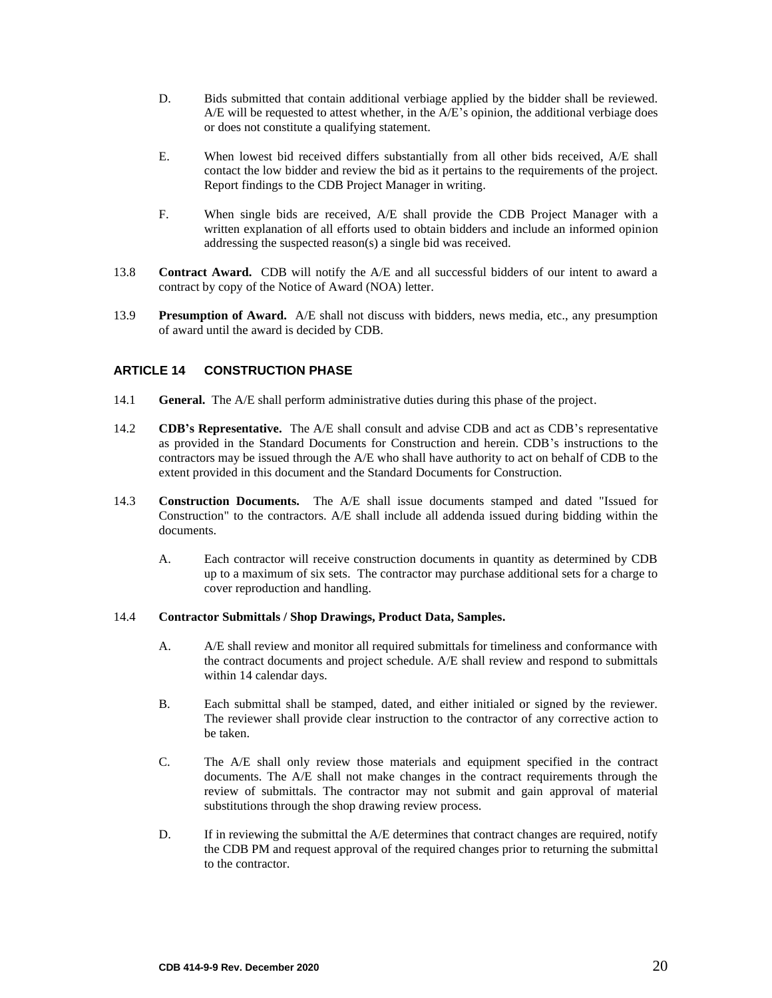- D. Bids submitted that contain additional verbiage applied by the bidder shall be reviewed. A/E will be requested to attest whether, in the A/E's opinion, the additional verbiage does or does not constitute a qualifying statement.
- E. When lowest bid received differs substantially from all other bids received, A/E shall contact the low bidder and review the bid as it pertains to the requirements of the project. Report findings to the CDB Project Manager in writing.
- F. When single bids are received, A/E shall provide the CDB Project Manager with a written explanation of all efforts used to obtain bidders and include an informed opinion addressing the suspected reason(s) a single bid was received.
- 13.8 **Contract Award.** CDB will notify the A/E and all successful bidders of our intent to award a contract by copy of the Notice of Award (NOA) letter.
- 13.9 **Presumption of Award.** A/E shall not discuss with bidders, news media, etc., any presumption of award until the award is decided by CDB.

## <span id="page-21-0"></span>**ARTICLE 14 CONSTRUCTION PHASE**

- 14.1 **General.** The A/E shall perform administrative duties during this phase of the project.
- 14.2 **CDB's Representative.** The A/E shall consult and advise CDB and act as CDB's representative as provided in the Standard Documents for Construction and herein. CDB's instructions to the contractors may be issued through the A/E who shall have authority to act on behalf of CDB to the extent provided in this document and the Standard Documents for Construction.
- 14.3 **Construction Documents.**The A/E shall issue documents stamped and dated "Issued for Construction" to the contractors. A/E shall include all addenda issued during bidding within the documents.
	- A. Each contractor will receive construction documents in quantity as determined by CDB up to a maximum of six sets. The contractor may purchase additional sets for a charge to cover reproduction and handling.

#### 14.4 **Contractor Submittals / Shop Drawings, Product Data, Samples.**

- A. A/E shall review and monitor all required submittals for timeliness and conformance with the contract documents and project schedule. A/E shall review and respond to submittals within 14 calendar days.
- B. Each submittal shall be stamped, dated, and either initialed or signed by the reviewer. The reviewer shall provide clear instruction to the contractor of any corrective action to be taken.
- C. The A/E shall only review those materials and equipment specified in the contract documents. The A/E shall not make changes in the contract requirements through the review of submittals. The contractor may not submit and gain approval of material substitutions through the shop drawing review process.
- D. If in reviewing the submittal the A/E determines that contract changes are required, notify the CDB PM and request approval of the required changes prior to returning the submittal to the contractor.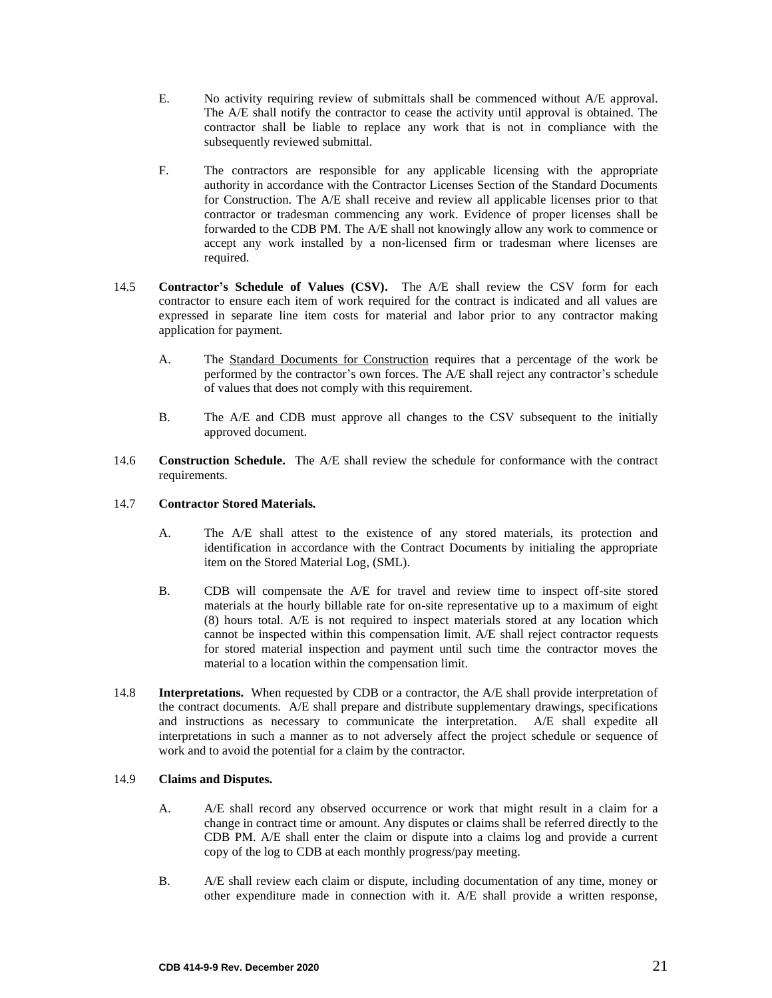- E. No activity requiring review of submittals shall be commenced without A/E approval. The A/E shall notify the contractor to cease the activity until approval is obtained. The contractor shall be liable to replace any work that is not in compliance with the subsequently reviewed submittal.
- F. The contractors are responsible for any applicable licensing with the appropriate authority in accordance with the Contractor Licenses Section of the Standard Documents for Construction. The A/E shall receive and review all applicable licenses prior to that contractor or tradesman commencing any work. Evidence of proper licenses shall be forwarded to the CDB PM. The A/E shall not knowingly allow any work to commence or accept any work installed by a non-licensed firm or tradesman where licenses are required.
- 14.5 **Contractor's Schedule of Values (CSV).** The A/E shall review the CSV form for each contractor to ensure each item of work required for the contract is indicated and all values are expressed in separate line item costs for material and labor prior to any contractor making application for payment.
	- A. The Standard Documents for Construction requires that a percentage of the work be performed by the contractor's own forces. The A/E shall reject any contractor's schedule of values that does not comply with this requirement.
	- B. The A/E and CDB must approve all changes to the CSV subsequent to the initially approved document.
- 14.6 **Construction Schedule.** The A/E shall review the schedule for conformance with the contract requirements.

#### 14.7 **Contractor Stored Materials.**

- A. The A/E shall attest to the existence of any stored materials, its protection and identification in accordance with the Contract Documents by initialing the appropriate item on the Stored Material Log, (SML).
- B. CDB will compensate the A/E for travel and review time to inspect off-site stored materials at the hourly billable rate for on-site representative up to a maximum of eight (8) hours total. A/E is not required to inspect materials stored at any location which cannot be inspected within this compensation limit. A/E shall reject contractor requests for stored material inspection and payment until such time the contractor moves the material to a location within the compensation limit.
- 14.8 **Interpretations.** When requested by CDB or a contractor, the A/E shall provide interpretation of the contract documents. A/E shall prepare and distribute supplementary drawings, specifications and instructions as necessary to communicate the interpretation. A/E shall expedite all interpretations in such a manner as to not adversely affect the project schedule or sequence of work and to avoid the potential for a claim by the contractor.

#### 14.9 **Claims and Disputes.**

- A. A/E shall record any observed occurrence or work that might result in a claim for a change in contract time or amount. Any disputes or claims shall be referred directly to the CDB PM. A/E shall enter the claim or dispute into a claims log and provide a current copy of the log to CDB at each monthly progress/pay meeting.
- B. A/E shall review each claim or dispute, including documentation of any time, money or other expenditure made in connection with it. A/E shall provide a written response,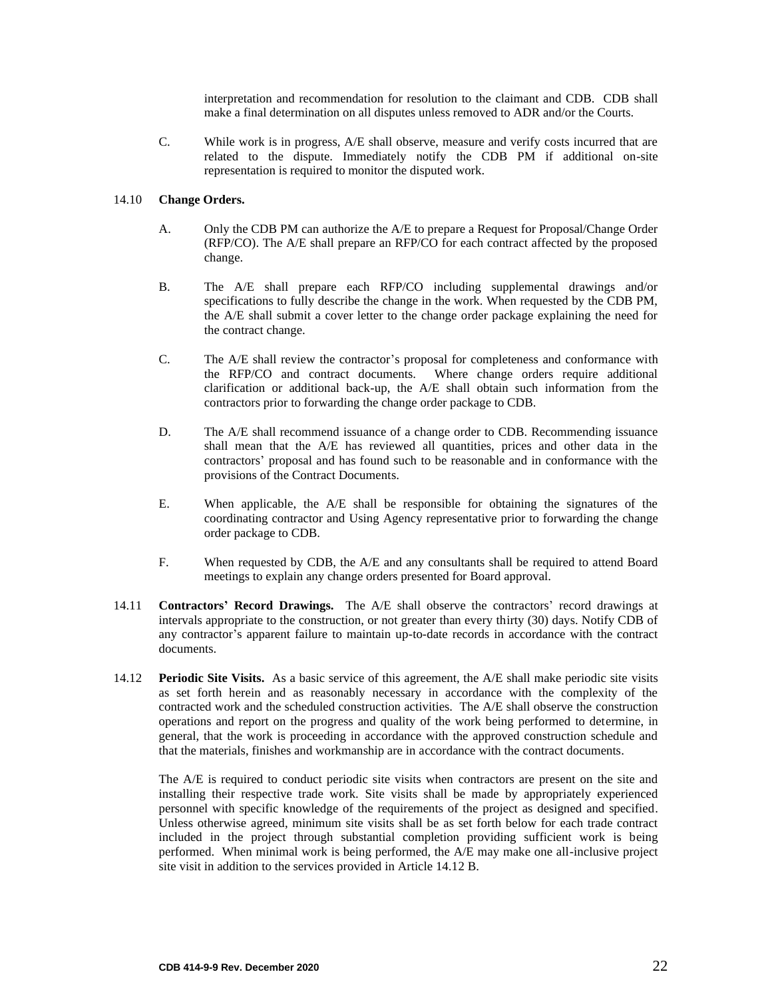interpretation and recommendation for resolution to the claimant and CDB. CDB shall make a final determination on all disputes unless removed to ADR and/or the Courts.

C. While work is in progress, A/E shall observe, measure and verify costs incurred that are related to the dispute. Immediately notify the CDB PM if additional on-site representation is required to monitor the disputed work.

#### 14.10 **Change Orders.**

- A. Only the CDB PM can authorize the A/E to prepare a Request for Proposal/Change Order (RFP/CO). The A/E shall prepare an RFP/CO for each contract affected by the proposed change.
- B. The A/E shall prepare each RFP/CO including supplemental drawings and/or specifications to fully describe the change in the work. When requested by the CDB PM, the A/E shall submit a cover letter to the change order package explaining the need for the contract change.
- C. The A/E shall review the contractor's proposal for completeness and conformance with the RFP/CO and contract documents. Where change orders require additional clarification or additional back-up, the A/E shall obtain such information from the contractors prior to forwarding the change order package to CDB.
- D. The A/E shall recommend issuance of a change order to CDB. Recommending issuance shall mean that the A/E has reviewed all quantities, prices and other data in the contractors' proposal and has found such to be reasonable and in conformance with the provisions of the Contract Documents.
- E. When applicable, the A/E shall be responsible for obtaining the signatures of the coordinating contractor and Using Agency representative prior to forwarding the change order package to CDB.
- F. When requested by CDB, the A/E and any consultants shall be required to attend Board meetings to explain any change orders presented for Board approval.
- 14.11 **Contractors' Record Drawings.** The A/E shall observe the contractors' record drawings at intervals appropriate to the construction, or not greater than every thirty (30) days. Notify CDB of any contractor's apparent failure to maintain up-to-date records in accordance with the contract documents.
- 14.12 **Periodic Site Visits.** As a basic service of this agreement, the A/E shall make periodic site visits as set forth herein and as reasonably necessary in accordance with the complexity of the contracted work and the scheduled construction activities. The A/E shall observe the construction operations and report on the progress and quality of the work being performed to determine, in general, that the work is proceeding in accordance with the approved construction schedule and that the materials, finishes and workmanship are in accordance with the contract documents.

The A/E is required to conduct periodic site visits when contractors are present on the site and installing their respective trade work. Site visits shall be made by appropriately experienced personnel with specific knowledge of the requirements of the project as designed and specified. Unless otherwise agreed, minimum site visits shall be as set forth below for each trade contract included in the project through substantial completion providing sufficient work is being performed. When minimal work is being performed, the A/E may make one all-inclusive project site visit in addition to the services provided in Article 14.12 B.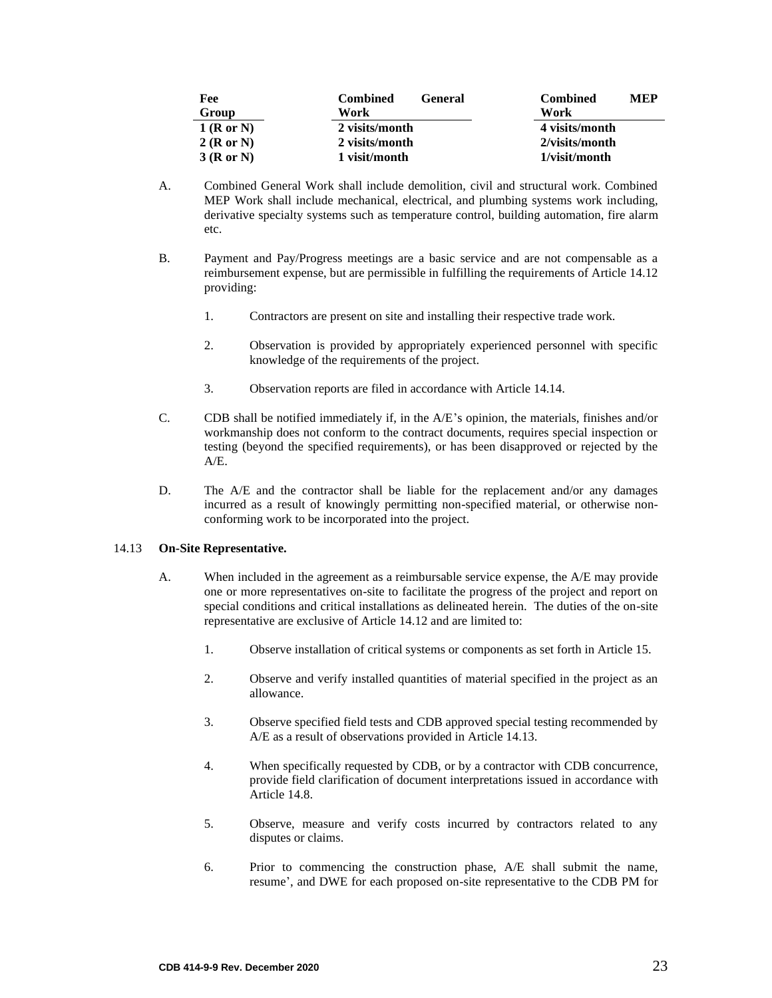| Fee          | <b>Combined</b><br><b>General</b> | <b>Combined</b><br><b>MEP</b> |
|--------------|-----------------------------------|-------------------------------|
| Group        | Work                              | Work                          |
| $1$ (R or N) | 2 visits/month                    | 4 visits/month                |
| 2(RorN)      | 2 visits/month                    | 2/visits/month                |
| 3(RorN)      | 1 visit/month                     | 1/visit/month                 |

- A. Combined General Work shall include demolition, civil and structural work. Combined MEP Work shall include mechanical, electrical, and plumbing systems work including, derivative specialty systems such as temperature control, building automation, fire alarm etc.
- B. Payment and Pay/Progress meetings are a basic service and are not compensable as a reimbursement expense, but are permissible in fulfilling the requirements of Article 14.12 providing:
	- 1. Contractors are present on site and installing their respective trade work.
	- 2. Observation is provided by appropriately experienced personnel with specific knowledge of the requirements of the project.
	- 3. Observation reports are filed in accordance with Article 14.14.
- C. CDB shall be notified immediately if, in the A/E's opinion, the materials, finishes and/or workmanship does not conform to the contract documents, requires special inspection or testing (beyond the specified requirements), or has been disapproved or rejected by the A/E.
- D. The A/E and the contractor shall be liable for the replacement and/or any damages incurred as a result of knowingly permitting non-specified material, or otherwise nonconforming work to be incorporated into the project.

## 14.13 **On-Site Representative.**

- A. When included in the agreement as a reimbursable service expense, the A/E may provide one or more representatives on-site to facilitate the progress of the project and report on special conditions and critical installations as delineated herein. The duties of the on-site representative are exclusive of Article 14.12 and are limited to:
	- 1. Observe installation of critical systems or components as set forth in Article 15.
	- 2. Observe and verify installed quantities of material specified in the project as an allowance.
	- 3. Observe specified field tests and CDB approved special testing recommended by A/E as a result of observations provided in Article 14.13.
	- 4. When specifically requested by CDB, or by a contractor with CDB concurrence, provide field clarification of document interpretations issued in accordance with Article 14.8.
	- 5. Observe, measure and verify costs incurred by contractors related to any disputes or claims.
	- 6. Prior to commencing the construction phase, A/E shall submit the name, resume', and DWE for each proposed on-site representative to the CDB PM for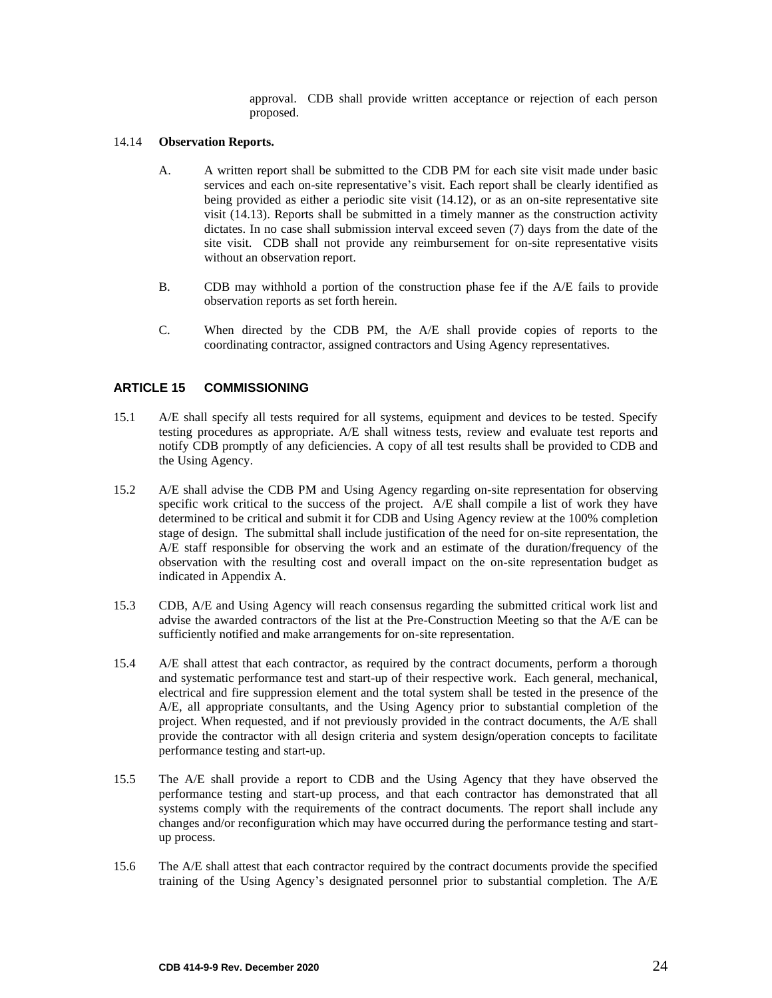approval. CDB shall provide written acceptance or rejection of each person proposed.

#### 14.14 **Observation Reports.**

- A. A written report shall be submitted to the CDB PM for each site visit made under basic services and each on-site representative's visit. Each report shall be clearly identified as being provided as either a periodic site visit (14.12), or as an on-site representative site visit (14.13). Reports shall be submitted in a timely manner as the construction activity dictates. In no case shall submission interval exceed seven (7) days from the date of the site visit. CDB shall not provide any reimbursement for on-site representative visits without an observation report.
- B. CDB may withhold a portion of the construction phase fee if the A/E fails to provide observation reports as set forth herein.
- <span id="page-25-0"></span>C. When directed by the CDB PM, the A/E shall provide copies of reports to the coordinating contractor, assigned contractors and Using Agency representatives.

## **ARTICLE 15 COMMISSIONING**

- 15.1 A/E shall specify all tests required for all systems, equipment and devices to be tested. Specify testing procedures as appropriate. A/E shall witness tests, review and evaluate test reports and notify CDB promptly of any deficiencies. A copy of all test results shall be provided to CDB and the Using Agency.
- 15.2 A/E shall advise the CDB PM and Using Agency regarding on-site representation for observing specific work critical to the success of the project. A/E shall compile a list of work they have determined to be critical and submit it for CDB and Using Agency review at the 100% completion stage of design. The submittal shall include justification of the need for on-site representation, the A/E staff responsible for observing the work and an estimate of the duration/frequency of the observation with the resulting cost and overall impact on the on-site representation budget as indicated in Appendix A.
- 15.3 CDB, A/E and Using Agency will reach consensus regarding the submitted critical work list and advise the awarded contractors of the list at the Pre-Construction Meeting so that the A/E can be sufficiently notified and make arrangements for on-site representation.
- 15.4 A/E shall attest that each contractor, as required by the contract documents, perform a thorough and systematic performance test and start-up of their respective work. Each general, mechanical, electrical and fire suppression element and the total system shall be tested in the presence of the A/E, all appropriate consultants, and the Using Agency prior to substantial completion of the project. When requested, and if not previously provided in the contract documents, the A/E shall provide the contractor with all design criteria and system design/operation concepts to facilitate performance testing and start-up.
- 15.5 The A/E shall provide a report to CDB and the Using Agency that they have observed the performance testing and start-up process, and that each contractor has demonstrated that all systems comply with the requirements of the contract documents. The report shall include any changes and/or reconfiguration which may have occurred during the performance testing and startup process.
- 15.6 The A/E shall attest that each contractor required by the contract documents provide the specified training of the Using Agency's designated personnel prior to substantial completion. The A/E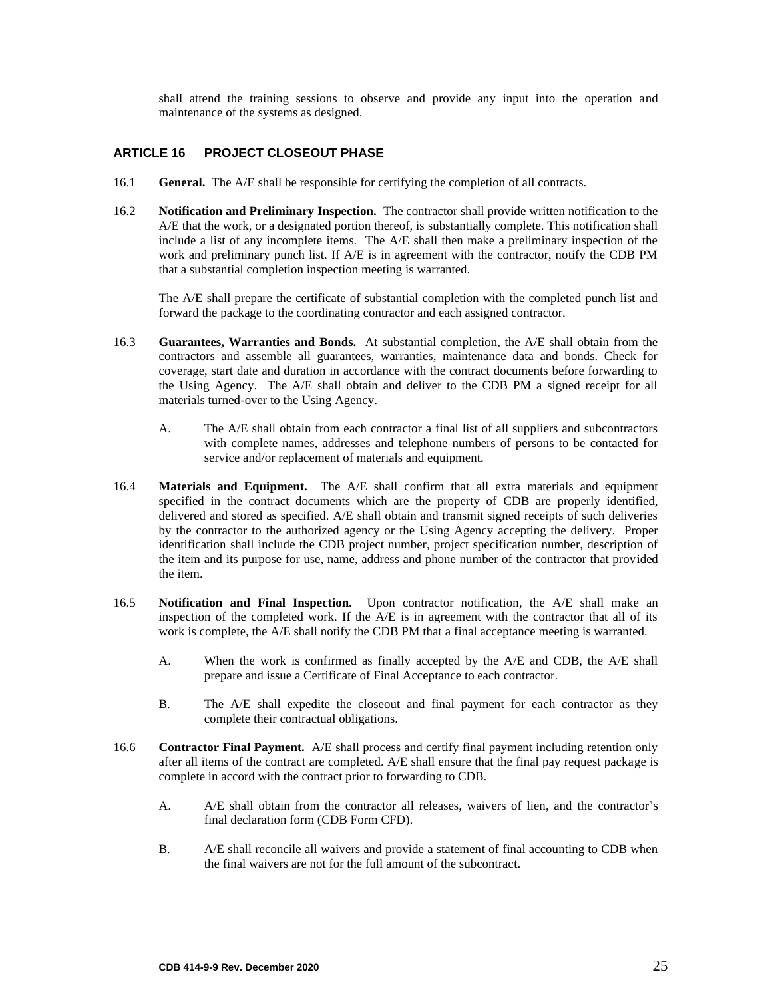<span id="page-26-0"></span>shall attend the training sessions to observe and provide any input into the operation and maintenance of the systems as designed.

## **ARTICLE 16 PROJECT CLOSEOUT PHASE**

- 16.1 **General.** The A/E shall be responsible for certifying the completion of all contracts.
- 16.2 **Notification and Preliminary Inspection.** The contractor shall provide written notification to the A/E that the work, or a designated portion thereof, is substantially complete. This notification shall include a list of any incomplete items. The A/E shall then make a preliminary inspection of the work and preliminary punch list. If A/E is in agreement with the contractor, notify the CDB PM that a substantial completion inspection meeting is warranted.

The A/E shall prepare the certificate of substantial completion with the completed punch list and forward the package to the coordinating contractor and each assigned contractor.

- 16.3 **Guarantees, Warranties and Bonds.** At substantial completion, the A/E shall obtain from the contractors and assemble all guarantees, warranties, maintenance data and bonds. Check for coverage, start date and duration in accordance with the contract documents before forwarding to the Using Agency. The A/E shall obtain and deliver to the CDB PM a signed receipt for all materials turned-over to the Using Agency.
	- A. The A/E shall obtain from each contractor a final list of all suppliers and subcontractors with complete names, addresses and telephone numbers of persons to be contacted for service and/or replacement of materials and equipment.
- 16.4 **Materials and Equipment.** The A/E shall confirm that all extra materials and equipment specified in the contract documents which are the property of CDB are properly identified, delivered and stored as specified. A/E shall obtain and transmit signed receipts of such deliveries by the contractor to the authorized agency or the Using Agency accepting the delivery. Proper identification shall include the CDB project number, project specification number, description of the item and its purpose for use, name, address and phone number of the contractor that provided the item.
- 16.5 **Notification and Final Inspection.** Upon contractor notification, the A/E shall make an inspection of the completed work. If the A/E is in agreement with the contractor that all of its work is complete, the A/E shall notify the CDB PM that a final acceptance meeting is warranted.
	- A. When the work is confirmed as finally accepted by the A/E and CDB, the A/E shall prepare and issue a Certificate of Final Acceptance to each contractor.
	- B. The A/E shall expedite the closeout and final payment for each contractor as they complete their contractual obligations.
- 16.6 **Contractor Final Payment.** A/E shall process and certify final payment including retention only after all items of the contract are completed. A/E shall ensure that the final pay request package is complete in accord with the contract prior to forwarding to CDB.
	- A. A/E shall obtain from the contractor all releases, waivers of lien, and the contractor's final declaration form (CDB Form CFD).
	- B. A/E shall reconcile all waivers and provide a statement of final accounting to CDB when the final waivers are not for the full amount of the subcontract.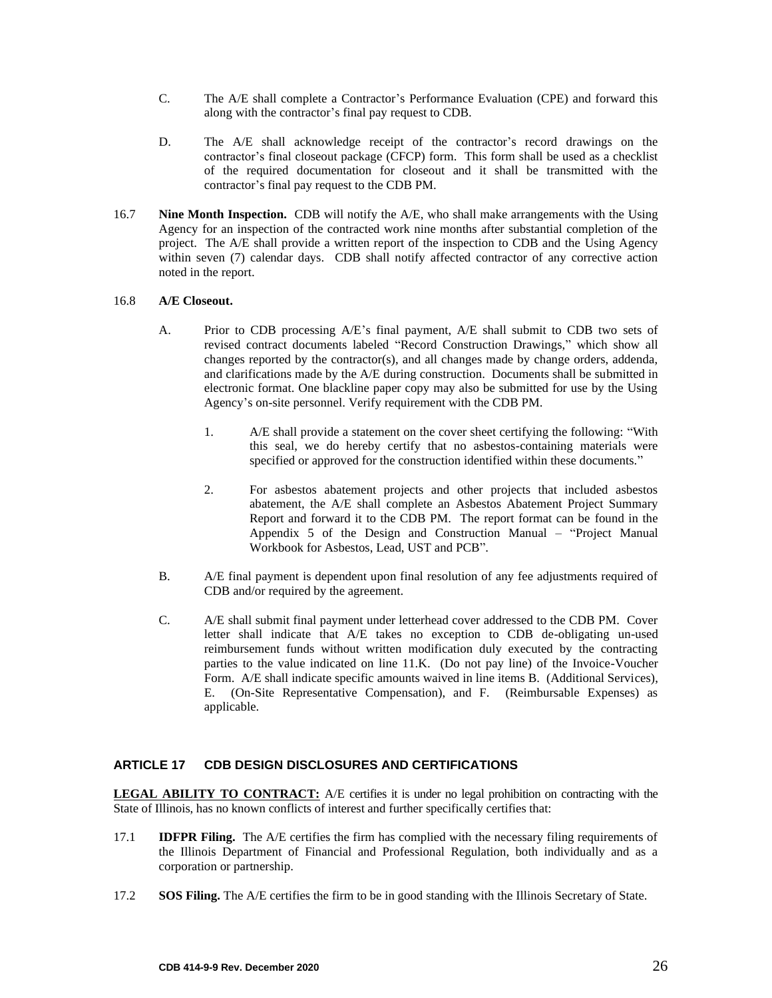- C. The A/E shall complete a Contractor's Performance Evaluation (CPE) and forward this along with the contractor's final pay request to CDB.
- D. The A/E shall acknowledge receipt of the contractor's record drawings on the contractor's final closeout package (CFCP) form. This form shall be used as a checklist of the required documentation for closeout and it shall be transmitted with the contractor's final pay request to the CDB PM.
- 16.7 **Nine Month Inspection.** CDB will notify the A/E, who shall make arrangements with the Using Agency for an inspection of the contracted work nine months after substantial completion of the project. The A/E shall provide a written report of the inspection to CDB and the Using Agency within seven (7) calendar days. CDB shall notify affected contractor of any corrective action noted in the report.

#### 16.8 **A/E Closeout.**

- A. Prior to CDB processing A/E's final payment, A/E shall submit to CDB two sets of revised contract documents labeled "Record Construction Drawings," which show all changes reported by the contractor(s), and all changes made by change orders, addenda, and clarifications made by the A/E during construction. Documents shall be submitted in electronic format. One blackline paper copy may also be submitted for use by the Using Agency's on-site personnel. Verify requirement with the CDB PM.
	- 1. A/E shall provide a statement on the cover sheet certifying the following: "With this seal, we do hereby certify that no asbestos-containing materials were specified or approved for the construction identified within these documents."
	- 2. For asbestos abatement projects and other projects that included asbestos abatement, the A/E shall complete an Asbestos Abatement Project Summary Report and forward it to the CDB PM. The report format can be found in the Appendix 5 of the Design and Construction Manual – "Project Manual Workbook for Asbestos, Lead, UST and PCB".
- B. A/E final payment is dependent upon final resolution of any fee adjustments required of CDB and/or required by the agreement.
- <span id="page-27-0"></span>C. A/E shall submit final payment under letterhead cover addressed to the CDB PM. Cover letter shall indicate that A/E takes no exception to CDB de-obligating un-used reimbursement funds without written modification duly executed by the contracting parties to the value indicated on line 11.K. (Do not pay line) of the Invoice-Voucher Form. A/E shall indicate specific amounts waived in line items B. (Additional Services), E. (On-Site Representative Compensation), and F. (Reimbursable Expenses) as applicable.

## **ARTICLE 17 CDB DESIGN DISCLOSURES AND CERTIFICATIONS**

**LEGAL ABILITY TO CONTRACT:** A/E certifies it is under no legal prohibition on contracting with the State of Illinois, has no known conflicts of interest and further specifically certifies that:

- 17.1 **IDFPR Filing.** The A/E certifies the firm has complied with the necessary filing requirements of the Illinois Department of Financial and Professional Regulation, both individually and as a corporation or partnership.
- 17.2 **SOS Filing.** The A/E certifies the firm to be in good standing with the Illinois Secretary of State.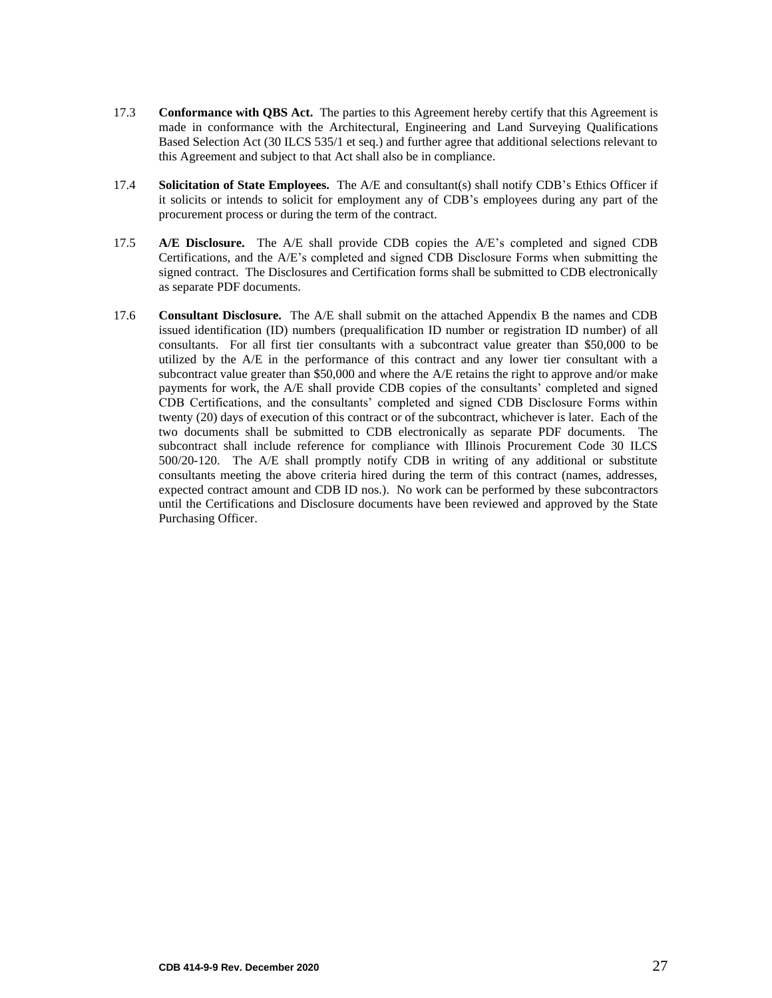- 17.3 **Conformance with QBS Act.** The parties to this Agreement hereby certify that this Agreement is made in conformance with the Architectural, Engineering and Land Surveying Qualifications Based Selection Act (30 ILCS 535/1 et seq.) and further agree that additional selections relevant to this Agreement and subject to that Act shall also be in compliance.
- 17.4 **Solicitation of State Employees.** The A/E and consultant(s) shall notify CDB's Ethics Officer if it solicits or intends to solicit for employment any of CDB's employees during any part of the procurement process or during the term of the contract.
- 17.5 **A/E Disclosure.** The A/E shall provide CDB copies the A/E's completed and signed CDB Certifications, and the A/E's completed and signed CDB Disclosure Forms when submitting the signed contract. The Disclosures and Certification forms shall be submitted to CDB electronically as separate PDF documents.
- 17.6 **Consultant Disclosure.** The A/E shall submit on the attached Appendix B the names and CDB issued identification (ID) numbers (prequalification ID number or registration ID number) of all consultants. For all first tier consultants with a subcontract value greater than \$50,000 to be utilized by the A/E in the performance of this contract and any lower tier consultant with a subcontract value greater than \$50,000 and where the A/E retains the right to approve and/or make payments for work, the A/E shall provide CDB copies of the consultants' completed and signed CDB Certifications, and the consultants' completed and signed CDB Disclosure Forms within twenty (20) days of execution of this contract or of the subcontract, whichever is later. Each of the two documents shall be submitted to CDB electronically as separate PDF documents. The subcontract shall include reference for compliance with Illinois Procurement Code 30 ILCS 500/20-120. The A/E shall promptly notify CDB in writing of any additional or substitute consultants meeting the above criteria hired during the term of this contract (names, addresses, expected contract amount and CDB ID nos.). No work can be performed by these subcontractors until the Certifications and Disclosure documents have been reviewed and approved by the State Purchasing Officer.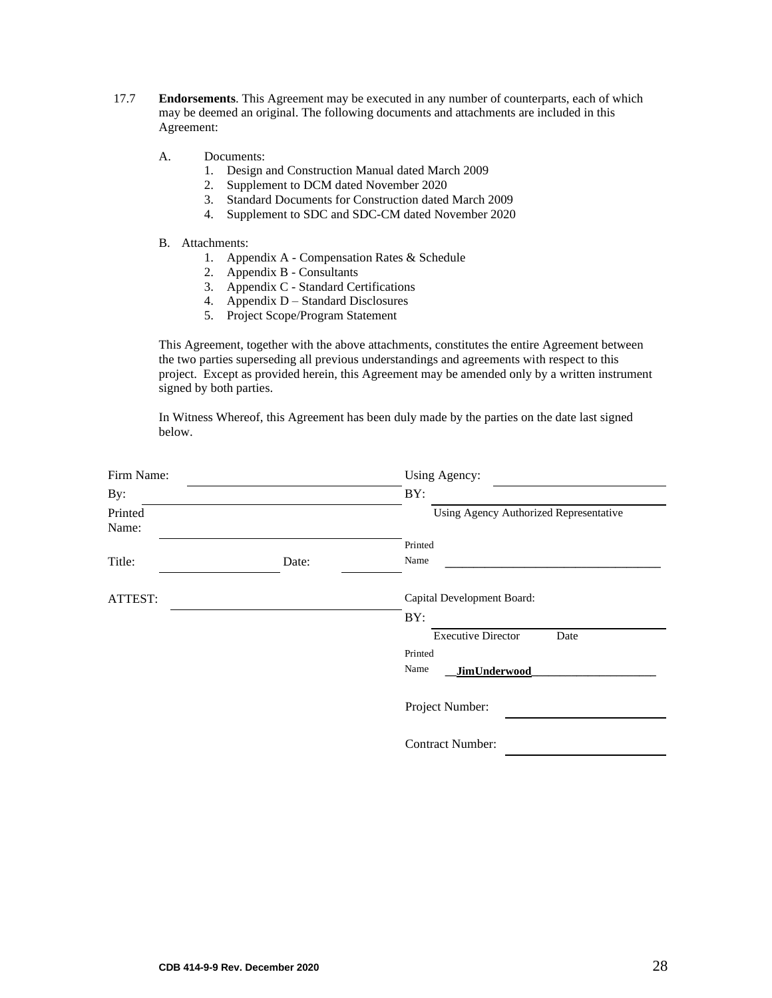- 17.7 **Endorsements**. This Agreement may be executed in any number of counterparts, each of which may be deemed an original. The following documents and attachments are included in this Agreement:
	- A. Documents:
		- 1. Design and Construction Manual dated March 2009
		- 2. Supplement to DCM dated November 2020
		- 3. Standard Documents for Construction dated March 2009
		- 4. Supplement to SDC and SDC-CM dated November 2020

#### B. Attachments:

- 1. Appendix A Compensation Rates & Schedule
- 2. Appendix B Consultants
- 3. Appendix C Standard Certifications
- 4. Appendix D Standard Disclosures
- 5. Project Scope/Program Statement

This Agreement, together with the above attachments, constitutes the entire Agreement between the two parties superseding all previous understandings and agreements with respect to this project. Except as provided herein, this Agreement may be amended only by a written instrument signed by both parties.

In Witness Whereof, this Agreement has been duly made by the parties on the date last signed below.

| Firm Name:       |       | Using Agency:                          |  |
|------------------|-------|----------------------------------------|--|
| By:              |       | BY:                                    |  |
| Printed<br>Name: |       | Using Agency Authorized Representative |  |
|                  |       | Printed                                |  |
| Title:           | Date: | Name                                   |  |
| ATTEST:          |       | Capital Development Board:             |  |
|                  |       | BY:                                    |  |
|                  |       | <b>Executive Director</b><br>Date      |  |
|                  |       | Printed                                |  |
|                  |       | Name<br><b>JimUnderwood</b>            |  |
|                  |       | Project Number:                        |  |
|                  |       | <b>Contract Number:</b>                |  |